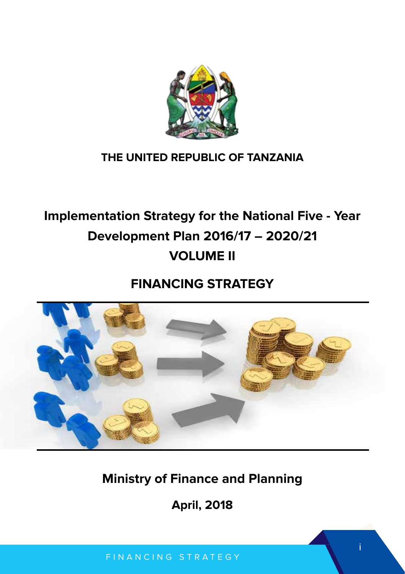

# **THE UNITED REPUBLIC OF TANZANIA**

# **Implementation Strategy for the National Five - Year Development Plan 2016/17 – 2020/21 VOLUME II**

# **FINANCING STRATEGY**



# **Ministry of Finance and Planning**

**April, 2018**

i

FINANCING STRATEGY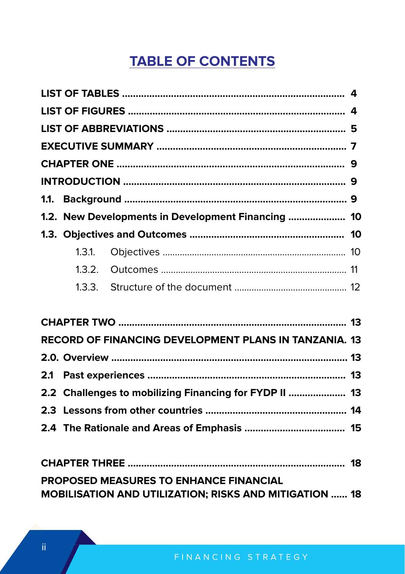# **TABLE OF CONTENTS**

|        | 1.2. New Developments in Development Financing  10     |  |
|--------|--------------------------------------------------------|--|
|        |                                                        |  |
| 1.3.1. |                                                        |  |
| 1.3.2. |                                                        |  |
|        |                                                        |  |
|        |                                                        |  |
|        |                                                        |  |
|        | RECORD OF FINANCING DEVELOPMENT PLANS IN TANZANIA. 13  |  |
|        |                                                        |  |
|        |                                                        |  |
|        | 2.2 Challenges to mobilizing Financing for FYDP II  13 |  |
|        |                                                        |  |
|        |                                                        |  |
|        |                                                        |  |
|        |                                                        |  |
|        | <b>PROPOSED MEASURES TO ENHANCE FINANCIAL</b>          |  |
|        | MOBILISATION AND UTILIZATION; RISKS AND MITIGATION  18 |  |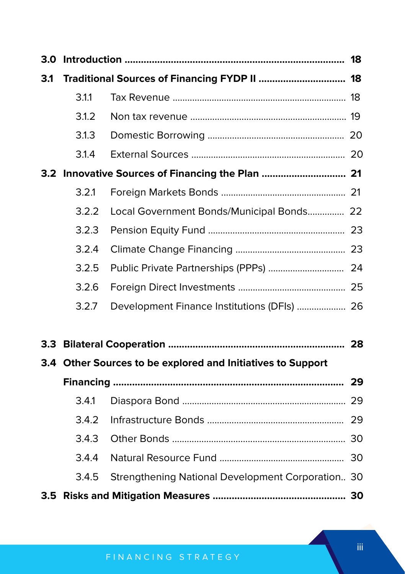| 3.1              |       | Traditional Sources of Financing FYDP II  18                |  |
|------------------|-------|-------------------------------------------------------------|--|
|                  | 3.1.1 |                                                             |  |
|                  | 3.1.2 |                                                             |  |
|                  | 3.1.3 |                                                             |  |
|                  | 3.1.4 |                                                             |  |
|                  |       | 3.2 Innovative Sources of Financing the Plan  21            |  |
|                  | 3.2.1 |                                                             |  |
|                  | 3.2.2 | Local Government Bonds/Municipal Bonds 22                   |  |
|                  | 3.2.3 |                                                             |  |
|                  | 3.2.4 |                                                             |  |
|                  | 3.2.5 |                                                             |  |
|                  | 3.2.6 |                                                             |  |
|                  | 3.2.7 | Development Finance Institutions (DFIs)  26                 |  |
| 3.3 <sub>1</sub> |       |                                                             |  |
|                  |       | 3.4 Other Sources to be explored and Initiatives to Support |  |
|                  |       |                                                             |  |
|                  | 3.4.1 |                                                             |  |
|                  | 3.4.2 |                                                             |  |
|                  | 3.4.3 |                                                             |  |
|                  | 3.4.4 |                                                             |  |
|                  | 3.4.5 | Strengthening National Development Corporation 30           |  |
|                  |       |                                                             |  |

iii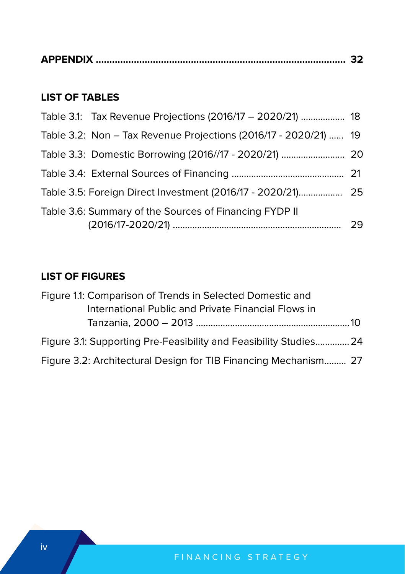|--|--|

## **LIST OF TABLES**

| Table 3.1: Tax Revenue Projections (2016/17 - 2020/21)  18       |    |
|------------------------------------------------------------------|----|
| Table 3.2: Non - Tax Revenue Projections (2016/17 - 2020/21)  19 |    |
| Table 3.3: Domestic Borrowing (2016//17 - 2020/21)  20           |    |
|                                                                  |    |
|                                                                  |    |
| Table 3.6: Summary of the Sources of Financing FYDP II           | 29 |

# **LIST OF FIGURES**

| Figure 1.1: Comparison of Trends in Selected Domestic and         |  |
|-------------------------------------------------------------------|--|
| International Public and Private Financial Flows in               |  |
|                                                                   |  |
| Figure 3.1: Supporting Pre-Feasibility and Feasibility Studies 24 |  |
| Figure 3.2: Architectural Design for TIB Financing Mechanism 27   |  |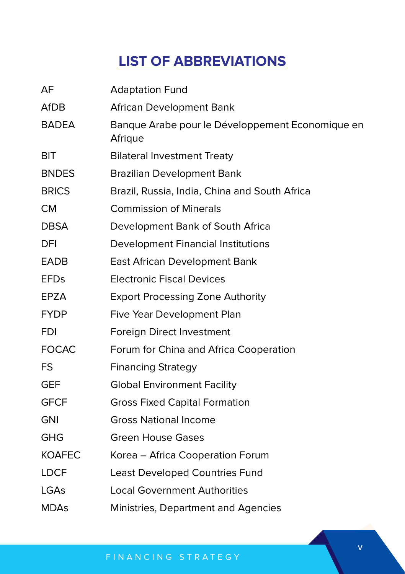# **LIST OF ABBREVIATIONS**

| AF            | <b>Adaptation Fund</b>                                      |
|---------------|-------------------------------------------------------------|
| <b>AfDB</b>   | African Development Bank                                    |
| <b>BADEA</b>  | Banque Arabe pour le Développement Economique en<br>Afrique |
| <b>BIT</b>    | <b>Bilateral Investment Treaty</b>                          |
| <b>BNDES</b>  | <b>Brazilian Development Bank</b>                           |
| <b>BRICS</b>  | Brazil, Russia, India, China and South Africa               |
| <b>CM</b>     | <b>Commission of Minerals</b>                               |
| <b>DBSA</b>   | Development Bank of South Africa                            |
| DFI           | <b>Development Financial Institutions</b>                   |
| <b>EADB</b>   | East African Development Bank                               |
| <b>EFDs</b>   | <b>Electronic Fiscal Devices</b>                            |
| EPZA          | <b>Export Processing Zone Authority</b>                     |
| <b>FYDP</b>   | Five Year Development Plan                                  |
| <b>FDI</b>    | Foreign Direct Investment                                   |
| <b>FOCAC</b>  | Forum for China and Africa Cooperation                      |
| FS            | <b>Financing Strategy</b>                                   |
| <b>GEF</b>    | <b>Global Environment Facility</b>                          |
| <b>GFCF</b>   | <b>Gross Fixed Capital Formation</b>                        |
| <b>GNI</b>    | <b>Gross National Income</b>                                |
| <b>GHG</b>    | <b>Green House Gases</b>                                    |
| <b>KOAFEC</b> | Korea - Africa Cooperation Forum                            |
| <b>LDCF</b>   | Least Developed Countries Fund                              |
| LGAs          | <b>Local Government Authorities</b>                         |
| <b>MDAs</b>   | Ministries, Department and Agencies                         |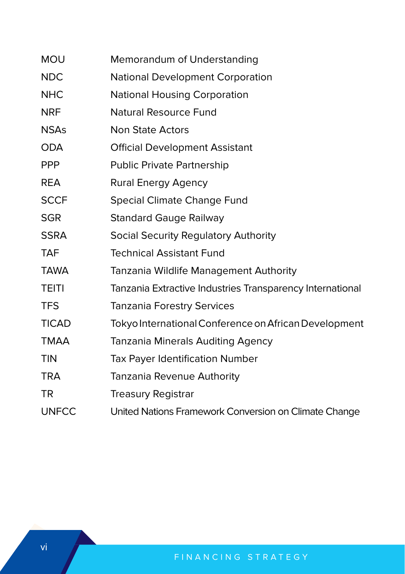| <b>MOU</b>   | Memorandum of Understanding                               |
|--------------|-----------------------------------------------------------|
| <b>NDC</b>   | <b>National Development Corporation</b>                   |
| <b>NHC</b>   | <b>National Housing Corporation</b>                       |
| <b>NRF</b>   | <b>Natural Resource Fund</b>                              |
| <b>NSAs</b>  | Non State Actors                                          |
| <b>ODA</b>   | <b>Official Development Assistant</b>                     |
| <b>PPP</b>   | <b>Public Private Partnership</b>                         |
| <b>REA</b>   | Rural Energy Agency                                       |
| <b>SCCF</b>  | Special Climate Change Fund                               |
| <b>SGR</b>   | <b>Standard Gauge Railway</b>                             |
| <b>SSRA</b>  | Social Security Regulatory Authority                      |
| <b>TAF</b>   | <b>Technical Assistant Fund</b>                           |
| <b>TAWA</b>  | Tanzania Wildlife Management Authority                    |
| <b>TEITI</b> | Tanzania Extractive Industries Transparency International |
| <b>TFS</b>   | <b>Tanzania Forestry Services</b>                         |
| <b>TICAD</b> | Tokyo International Conference on African Development     |
| <b>TMAA</b>  | <b>Tanzania Minerals Auditing Agency</b>                  |
| <b>TIN</b>   | <b>Tax Payer Identification Number</b>                    |
| <b>TRA</b>   | Tanzania Revenue Authority                                |
| TR           | <b>Treasury Registrar</b>                                 |
| <b>UNFCC</b> | United Nations Framework Conversion on Climate Change     |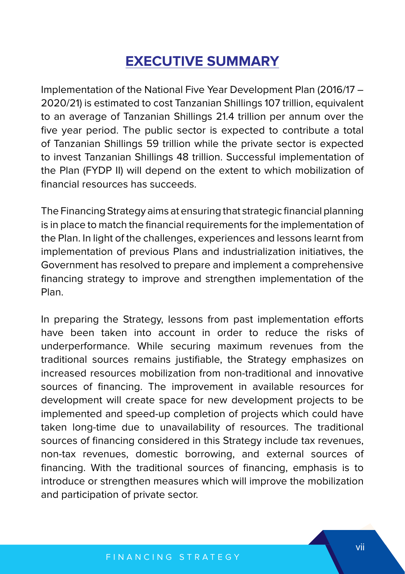# **EXECUTIVE SUMMARY**

Implementation of the National Five Year Development Plan (2016/17 – 2020/21) is estimated to cost Tanzanian Shillings 107 trillion, equivalent to an average of Tanzanian Shillings 21.4 trillion per annum over the five year period. The public sector is expected to contribute a total of Tanzanian Shillings 59 trillion while the private sector is expected to invest Tanzanian Shillings 48 trillion. Successful implementation of the Plan (FYDP II) will depend on the extent to which mobilization of financial resources has succeeds.

The Financing Strategy aims at ensuring that strategic financial planning is in place to match the financial requirements for the implementation of the Plan. In light of the challenges, experiences and lessons learnt from implementation of previous Plans and industrialization initiatives, the Government has resolved to prepare and implement a comprehensive financing strategy to improve and strengthen implementation of the Plan.

In preparing the Strategy, lessons from past implementation efforts have been taken into account in order to reduce the risks of underperformance. While securing maximum revenues from the traditional sources remains justifiable, the Strategy emphasizes on increased resources mobilization from non-traditional and innovative sources of financing. The improvement in available resources for development will create space for new development projects to be implemented and speed-up completion of projects which could have taken long-time due to unavailability of resources. The traditional sources of financing considered in this Strategy include tax revenues, non-tax revenues, domestic borrowing, and external sources of financing. With the traditional sources of financing, emphasis is to introduce or strengthen measures which will improve the mobilization and participation of private sector.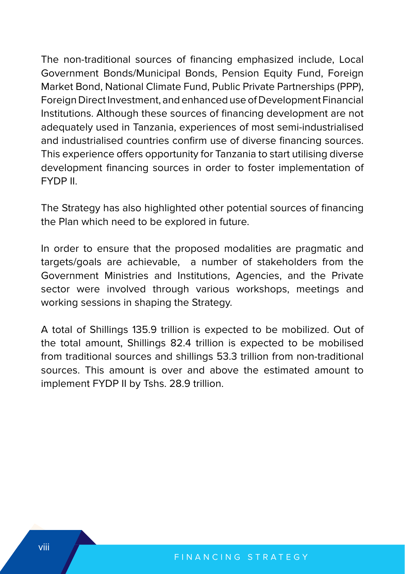The non-traditional sources of financing emphasized include, Local Government Bonds/Municipal Bonds, Pension Equity Fund, Foreign Market Bond, National Climate Fund, Public Private Partnerships (PPP), Foreign Direct Investment, and enhanced use of Development Financial Institutions. Although these sources of financing development are not adequately used in Tanzania, experiences of most semi-industrialised and industrialised countries confirm use of diverse financing sources. This experience offers opportunity for Tanzania to start utilising diverse development financing sources in order to foster implementation of FYDP II.

The Strategy has also highlighted other potential sources of financing the Plan which need to be explored in future.

In order to ensure that the proposed modalities are pragmatic and targets/goals are achievable, a number of stakeholders from the Government Ministries and Institutions, Agencies, and the Private sector were involved through various workshops, meetings and working sessions in shaping the Strategy.

A total of Shillings 135.9 trillion is expected to be mobilized. Out of the total amount, Shillings 82.4 trillion is expected to be mobilised from traditional sources and shillings 53.3 trillion from non-traditional sources. This amount is over and above the estimated amount to implement FYDP II by Tshs. 28.9 trillion.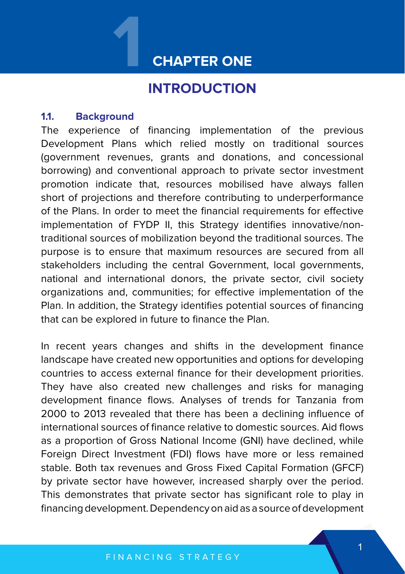# **1 CHAPTER ONE**

# **INTRODUCTION**

#### **1.1. Background**

The experience of financing implementation of the previous Development Plans which relied mostly on traditional sources (government revenues, grants and donations, and concessional borrowing) and conventional approach to private sector investment promotion indicate that, resources mobilised have always fallen short of projections and therefore contributing to underperformance of the Plans. In order to meet the financial requirements for effective implementation of FYDP II, this Strategy identifies innovative/nontraditional sources of mobilization beyond the traditional sources. The purpose is to ensure that maximum resources are secured from all stakeholders including the central Government, local governments, national and international donors, the private sector, civil society organizations and, communities; for effective implementation of the Plan. In addition, the Strategy identifies potential sources of financing that can be explored in future to finance the Plan.

In recent years changes and shifts in the development finance landscape have created new opportunities and options for developing countries to access external finance for their development priorities. They have also created new challenges and risks for managing development finance flows. Analyses of trends for Tanzania from 2000 to 2013 revealed that there has been a declining influence of international sources of finance relative to domestic sources. Aid flows as a proportion of Gross National Income (GNI) have declined, while Foreign Direct Investment (FDI) flows have more or less remained stable. Both tax revenues and Gross Fixed Capital Formation (GFCF) by private sector have however, increased sharply over the period. This demonstrates that private sector has significant role to play in financing development. Dependency on aid as a source of development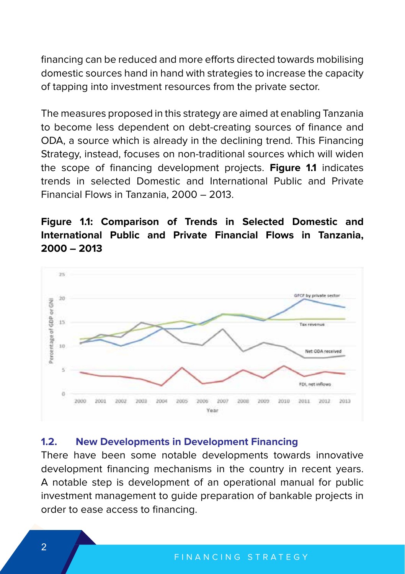financing can be reduced and more efforts directed towards mobilising domestic sources hand in hand with strategies to increase the capacity of tapping into investment resources from the private sector.

The measures proposed in this strategy are aimed at enabling Tanzania to become less dependent on debt-creating sources of finance and ODA, a source which is already in the declining trend. This Financing Strategy, instead, focuses on non-traditional sources which will widen the scope of financing development projects. **Figure 1.1** indicates trends in selected Domestic and International Public and Private Financial Flows in Tanzania, 2000 – 2013.

# **Figure 1.1: Comparison of Trends in Selected Domestic and International Public and Private Financial Flows in Tanzania, 2000 – 2013**



#### **1.2. New Developments in Development Financing**

There have been some notable developments towards innovative development financing mechanisms in the country in recent years. A notable step is development of an operational manual for public investment management to guide preparation of bankable projects in order to ease access to financing.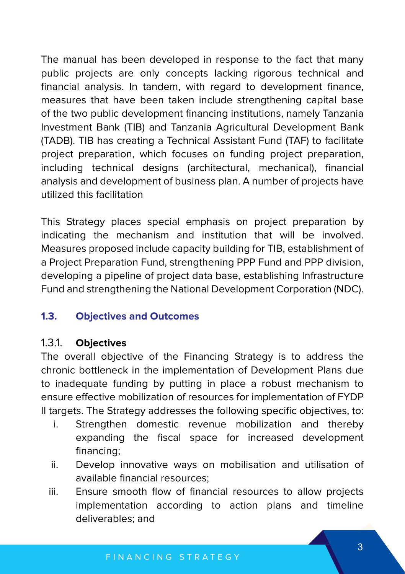The manual has been developed in response to the fact that many public projects are only concepts lacking rigorous technical and financial analysis. In tandem, with regard to development finance, measures that have been taken include strengthening capital base of the two public development financing institutions, namely Tanzania Investment Bank (TIB) and Tanzania Agricultural Development Bank (TADB). TIB has creating a Technical Assistant Fund (TAF) to facilitate project preparation, which focuses on funding project preparation, including technical designs (architectural, mechanical), financial analysis and development of business plan. A number of projects have utilized this facilitation

This Strategy places special emphasis on project preparation by indicating the mechanism and institution that will be involved. Measures proposed include capacity building for TIB, establishment of a Project Preparation Fund, strengthening PPP Fund and PPP division, developing a pipeline of project data base, establishing Infrastructure Fund and strengthening the National Development Corporation (NDC).

## **1.3. Objectives and Outcomes**

## 1.3.1. **Objectives**

The overall objective of the Financing Strategy is to address the chronic bottleneck in the implementation of Development Plans due to inadequate funding by putting in place a robust mechanism to ensure effective mobilization of resources for implementation of FYDP II targets. The Strategy addresses the following specific objectives, to:

- i. Strengthen domestic revenue mobilization and thereby expanding the fiscal space for increased development financing;
- ii. Develop innovative ways on mobilisation and utilisation of available financial resources;
- iii. Ensure smooth flow of financial resources to allow projects implementation according to action plans and timeline deliverables; and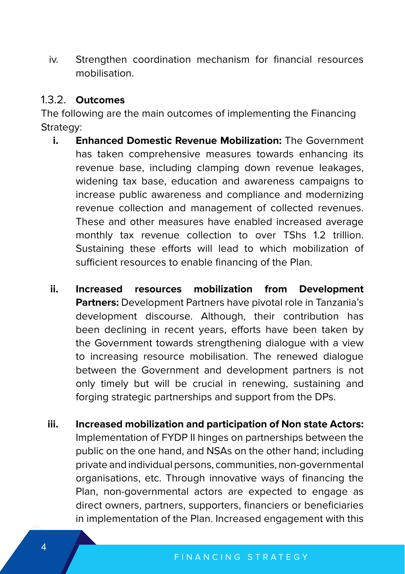iv. Strengthen coordination mechanism for financial resources mobilisation.

#### 1.3.2. **Outcomes**

The following are the main outcomes of implementing the Financing Strategy:

- **i. Enhanced Domestic Revenue Mobilization:** The Government has taken comprehensive measures towards enhancing its revenue base, including clamping down revenue leakages, widening tax base, education and awareness campaigns to increase public awareness and compliance and modernizing revenue collection and management of collected revenues. These and other measures have enabled increased average monthly tax revenue collection to over TShs 1.2 trillion. Sustaining these efforts will lead to which mobilization of sufficient resources to enable financing of the Plan.
- **ii. Increased resources mobilization from Development Partners:** Development Partners have pivotal role in Tanzania's development discourse. Although, their contribution has been declining in recent years, efforts have been taken by the Government towards strengthening dialogue with a view to increasing resource mobilisation. The renewed dialogue between the Government and development partners is not only timely but will be crucial in renewing, sustaining and forging strategic partnerships and support from the DPs.
- **iii. Increased mobilization and participation of Non state Actors:**  Implementation of FYDP II hinges on partnerships between the public on the one hand, and NSAs on the other hand; including private and individual persons, communities, non-governmental organisations, etc. Through innovative ways of financing the Plan, non-governmental actors are expected to engage as direct owners, partners, supporters, financiers or beneficiaries in implementation of the Plan. Increased engagement with this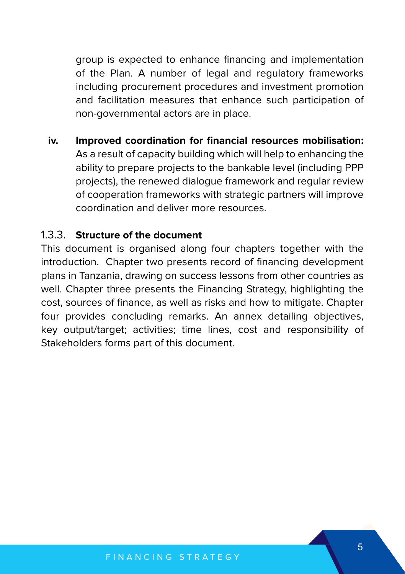group is expected to enhance financing and implementation of the Plan. A number of legal and regulatory frameworks including procurement procedures and investment promotion and facilitation measures that enhance such participation of non-governmental actors are in place.

**iv. Improved coordination for financial resources mobilisation:** As a result of capacity building which will help to enhancing the ability to prepare projects to the bankable level (including PPP projects), the renewed dialogue framework and regular review of cooperation frameworks with strategic partners will improve coordination and deliver more resources.

#### 1.3.3. **Structure of the document**

This document is organised along four chapters together with the introduction. Chapter two presents record of financing development plans in Tanzania, drawing on success lessons from other countries as well. Chapter three presents the Financing Strategy, highlighting the cost, sources of finance, as well as risks and how to mitigate. Chapter four provides concluding remarks. An annex detailing objectives, key output/target; activities; time lines, cost and responsibility of Stakeholders forms part of this document.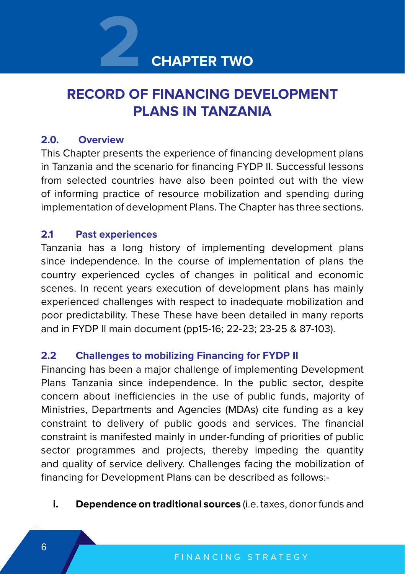

# **RECORD OF FINANCING DEVELOPMENT PLANS IN TANZANIA**

#### **2.0. Overview**

This Chapter presents the experience of financing development plans in Tanzania and the scenario for financing FYDP II. Successful lessons from selected countries have also been pointed out with the view of informing practice of resource mobilization and spending during implementation of development Plans. The Chapter has three sections.

## **2.1 Past experiences**

Tanzania has a long history of implementing development plans since independence. In the course of implementation of plans the country experienced cycles of changes in political and economic scenes. In recent years execution of development plans has mainly experienced challenges with respect to inadequate mobilization and poor predictability. These These have been detailed in many reports and in FYDP II main document (pp15-16; 22-23; 23-25 & 87-103).

## **2.2 Challenges to mobilizing Financing for FYDP II**

Financing has been a major challenge of implementing Development Plans Tanzania since independence. In the public sector, despite concern about inefficiencies in the use of public funds, majority of Ministries, Departments and Agencies (MDAs) cite funding as a key constraint to delivery of public goods and services. The financial constraint is manifested mainly in under-funding of priorities of public sector programmes and projects, thereby impeding the quantity and quality of service delivery. Challenges facing the mobilization of financing for Development Plans can be described as follows:-

**i. Dependence on traditional sources** (i.e. taxes, donor funds and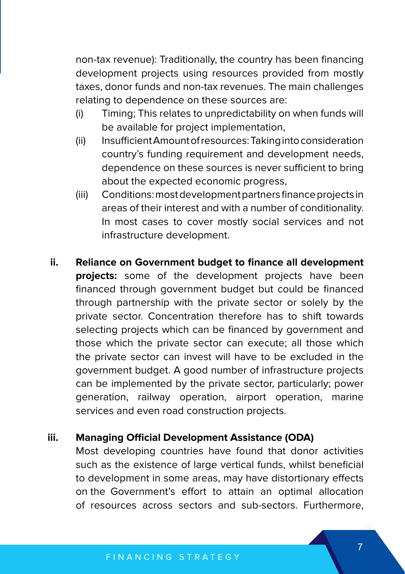non-tax revenue): Traditionally, the country has been financing development projects using resources provided from mostly taxes, donor funds and non-tax revenues. The main challenges relating to dependence on these sources are:

- (i) Timing; This relates to unpredictability on when funds will be available for project implementation,
- (ii) Insufficient Amount of resources: Taking into consideration country's funding requirement and development needs, dependence on these sources is never sufficient to bring about the expected economic progress,
- (iii) Conditions: most development partners finance projects in areas of their interest and with a number of conditionality. In most cases to cover mostly social services and not infrastructure development.
- **ii. Reliance on Government budget to finance all development projects:** some of the development projects have been financed through government budget but could be financed through partnership with the private sector or solely by the private sector. Concentration therefore has to shift towards selecting projects which can be financed by government and those which the private sector can execute; all those which the private sector can invest will have to be excluded in the government budget. A good number of infrastructure projects can be implemented by the private sector, particularly; power generation, railway operation, airport operation, marine services and even road construction projects.

#### **iii. Managing Official Development Assistance (ODA)**

Most developing countries have found that donor activities such as the existence of large vertical funds, whilst beneficial to development in some areas, may have distortionary effects on the Government's effort to attain an optimal allocation of resources across sectors and sub-sectors. Furthermore,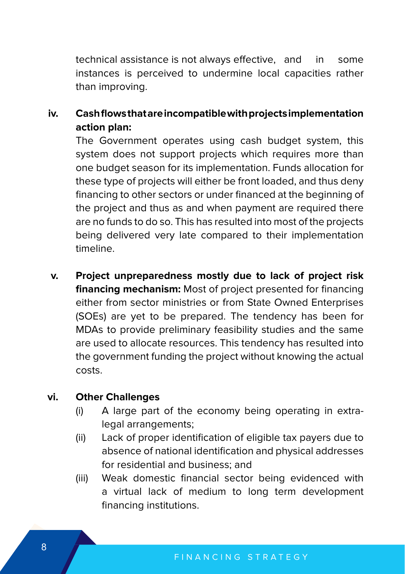technical assistance is not always effective, and in some instances is perceived to undermine local capacities rather than improving.

**iv. Cash flows that are incompatible with projects implementation action plan:**

The Government operates using cash budget system, this system does not support projects which requires more than one budget season for its implementation. Funds allocation for these type of projects will either be front loaded, and thus deny financing to other sectors or under financed at the beginning of the project and thus as and when payment are required there are no funds to do so. This has resulted into most of the projects being delivered very late compared to their implementation timeline.

**v. Project unpreparedness mostly due to lack of project risk financing mechanism:** Most of project presented for financing either from sector ministries or from State Owned Enterprises (SOEs) are yet to be prepared. The tendency has been for MDAs to provide preliminary feasibility studies and the same are used to allocate resources. This tendency has resulted into the government funding the project without knowing the actual costs.

## **vi. Other Challenges**

- (i) A large part of the economy being operating in extralegal arrangements;
- (ii) Lack of proper identification of eligible tax payers due to absence of national identification and physical addresses for residential and business; and
- (iii) Weak domestic financial sector being evidenced with a virtual lack of medium to long term development financing institutions.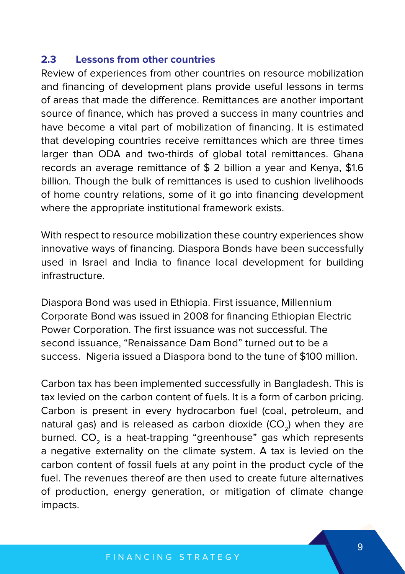#### **2.3 Lessons from other countries**

Review of experiences from other countries on resource mobilization and financing of development plans provide useful lessons in terms of areas that made the difference. Remittances are another important source of finance, which has proved a success in many countries and have become a vital part of mobilization of financing. It is estimated that developing countries receive remittances which are three times larger than ODA and two-thirds of global total remittances. Ghana records an average remittance of \$ 2 billion a year and Kenya, \$1.6 billion. Though the bulk of remittances is used to cushion livelihoods of home country relations, some of it go into financing development where the appropriate institutional framework exists.

With respect to resource mobilization these country experiences show innovative ways of financing. Diaspora Bonds have been successfully used in Israel and India to finance local development for building infrastructure.

Diaspora Bond was used in Ethiopia. First issuance, Millennium Corporate Bond was issued in 2008 for financing Ethiopian Electric Power Corporation. The first issuance was not successful. The second issuance, "Renaissance Dam Bond" turned out to be a success. Nigeria issued a Diaspora bond to the tune of \$100 million.

Carbon tax has been implemented successfully in Bangladesh. This is tax levied on the carbon content of fuels. It is a form of carbon pricing. Carbon is present in every hydrocarbon fuel (coal, petroleum, and natural gas) and is released as carbon dioxide  $(CO<sub>2</sub>)$  when they are burned.  $CO<sub>2</sub>$  is a heat-trapping "greenhouse" gas which represents a negative externality on the climate system. A tax is levied on the carbon content of fossil fuels at any point in the product cycle of the fuel. The revenues thereof are then used to create future alternatives of production, energy generation, or mitigation of climate change impacts.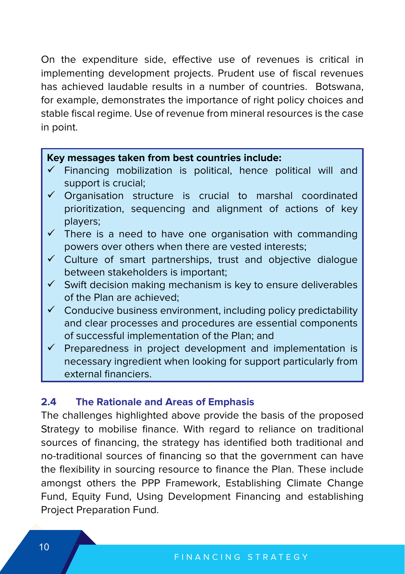On the expenditure side, effective use of revenues is critical in implementing development projects. Prudent use of fiscal revenues has achieved laudable results in a number of countries. Botswana, for example, demonstrates the importance of right policy choices and stable fiscal regime. Use of revenue from mineral resources is the case in point.

#### **Key messages taken from best countries include:**

- Financing mobilization is political, hence political will and support is crucial;
- Organisation structure is crucial to marshal coordinated prioritization, sequencing and alignment of actions of key players;
- There is a need to have one organisation with commanding powers over others when there are vested interests;
- Culture of smart partnerships, trust and objective dialogue between stakeholders is important;
- $\checkmark$  Swift decision making mechanism is key to ensure deliverables of the Plan are achieved;
- $\checkmark$  Conducive business environment, including policy predictability and clear processes and procedures are essential components of successful implementation of the Plan; and
- Preparedness in project development and implementation is necessary ingredient when looking for support particularly from external financiers.

#### **2.4 The Rationale and Areas of Emphasis**

The challenges highlighted above provide the basis of the proposed Strategy to mobilise finance. With regard to reliance on traditional sources of financing, the strategy has identified both traditional and no-traditional sources of financing so that the government can have the flexibility in sourcing resource to finance the Plan. These include amongst others the PPP Framework, Establishing Climate Change Fund, Equity Fund, Using Development Financing and establishing Project Preparation Fund.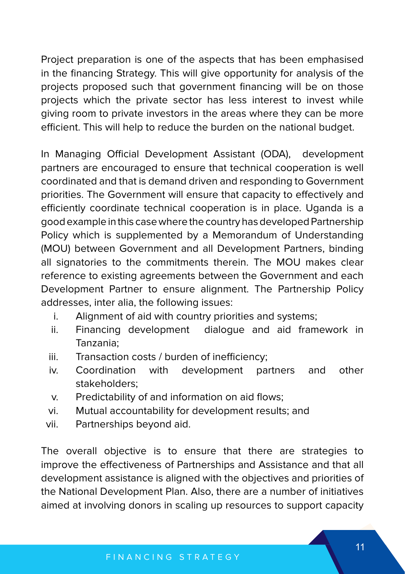Project preparation is one of the aspects that has been emphasised in the financing Strategy. This will give opportunity for analysis of the projects proposed such that government financing will be on those projects which the private sector has less interest to invest while giving room to private investors in the areas where they can be more efficient. This will help to reduce the burden on the national budget.

In Managing Official Development Assistant (ODA), development partners are encouraged to ensure that technical cooperation is well coordinated and that is demand driven and responding to Government priorities. The Government will ensure that capacity to effectively and efficiently coordinate technical cooperation is in place. Uganda is a good example in this case where the country has developed Partnership Policy which is supplemented by a Memorandum of Understanding (MOU) between Government and all Development Partners, binding all signatories to the commitments therein. The MOU makes clear reference to existing agreements between the Government and each Development Partner to ensure alignment. The Partnership Policy addresses, inter alia, the following issues:

- i. Alignment of aid with country priorities and systems;
- ii. Financing development dialogue and aid framework in Tanzania;
- iii. Transaction costs / burden of inefficiency;
- iv. Coordination with development partners and other stakeholders;
- v. Predictability of and information on aid flows;
- vi. Mutual accountability for development results; and
- vii. Partnerships beyond aid.

The overall objective is to ensure that there are strategies to improve the effectiveness of Partnerships and Assistance and that all development assistance is aligned with the objectives and priorities of the National Development Plan. Also, there are a number of initiatives aimed at involving donors in scaling up resources to support capacity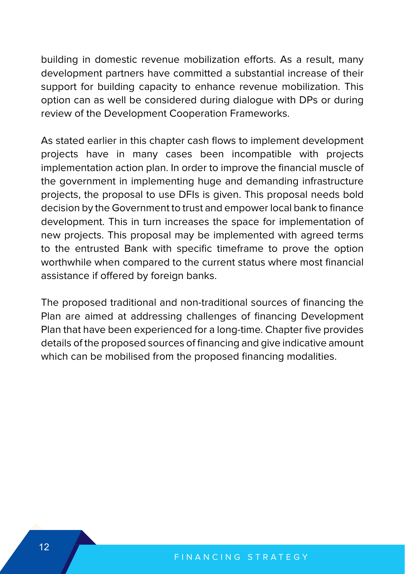building in domestic revenue mobilization efforts. As a result, many development partners have committed a substantial increase of their support for building capacity to enhance revenue mobilization. This option can as well be considered during dialogue with DPs or during review of the Development Cooperation Frameworks.

As stated earlier in this chapter cash flows to implement development projects have in many cases been incompatible with projects implementation action plan. In order to improve the financial muscle of the government in implementing huge and demanding infrastructure projects, the proposal to use DFIs is given. This proposal needs bold decision by the Government to trust and empower local bank to finance development. This in turn increases the space for implementation of new projects. This proposal may be implemented with agreed terms to the entrusted Bank with specific timeframe to prove the option worthwhile when compared to the current status where most financial assistance if offered by foreign banks.

The proposed traditional and non-traditional sources of financing the Plan are aimed at addressing challenges of financing Development Plan that have been experienced for a long-time. Chapter five provides details of the proposed sources of financing and give indicative amount which can be mobilised from the proposed financing modalities.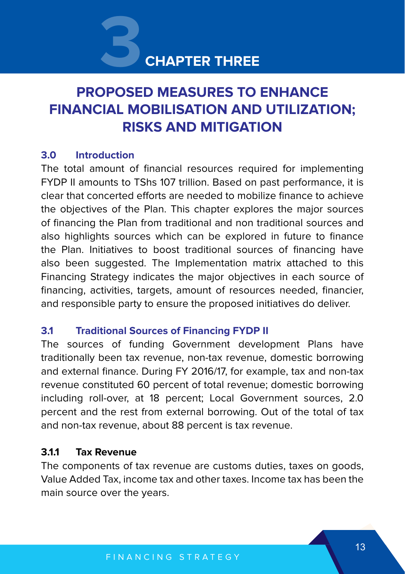# **CHAPTER THREE**

# **PROPOSED MEASURES TO ENHANCE FINANCIAL MOBILISATION AND UTILIZATION; RISKS AND MITIGATION 3**

#### **3.0 Introduction**

The total amount of financial resources required for implementing FYDP II amounts to TShs 107 trillion. Based on past performance, it is clear that concerted efforts are needed to mobilize finance to achieve the objectives of the Plan. This chapter explores the major sources of financing the Plan from traditional and non traditional sources and also highlights sources which can be explored in future to finance the Plan. Initiatives to boost traditional sources of financing have also been suggested. The Implementation matrix attached to this Financing Strategy indicates the major objectives in each source of financing, activities, targets, amount of resources needed, financier, and responsible party to ensure the proposed initiatives do deliver.

#### **3.1 Traditional Sources of Financing FYDP II**

The sources of funding Government development Plans have traditionally been tax revenue, non-tax revenue, domestic borrowing and external finance. During FY 2016/17, for example, tax and non-tax revenue constituted 60 percent of total revenue; domestic borrowing including roll-over, at 18 percent; Local Government sources, 2.0 percent and the rest from external borrowing. Out of the total of tax and non-tax revenue, about 88 percent is tax revenue.

#### **3.1.1 Tax Revenue**

The components of tax revenue are customs duties, taxes on goods, Value Added Tax, income tax and other taxes. Income tax has been the main source over the years.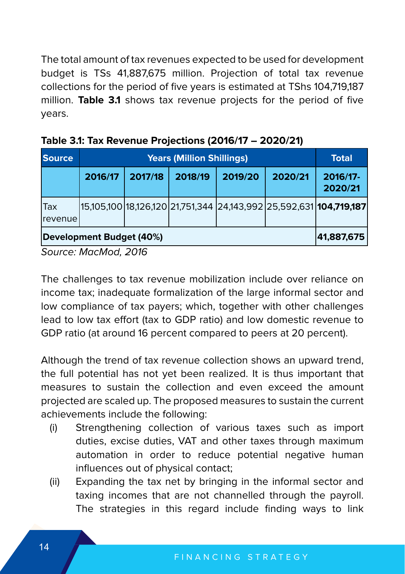The total amount of tax revenues expected to be used for development budget is TSs 41,887,675 million. Projection of total tax revenue collections for the period of five years is estimated at TShs 104,719,187 million. **Table 3.1** shows tax revenue projects for the period of five years.

| <b>Source</b>                          |         | <b>Total</b> |         |         |         |                                                                             |  |  |
|----------------------------------------|---------|--------------|---------|---------|---------|-----------------------------------------------------------------------------|--|--|
|                                        | 2016/17 | 2017/18      | 2018/19 | 2019/20 | 2020/21 | 2016/17-<br>2020/21                                                         |  |  |
| ITax<br> revenue                       |         |              |         |         |         | 15,105,100 18,126,120 21,751,344  24,143,992 25,592,631 <b> 104,719,187</b> |  |  |
| Development Budget (40%)<br>41,887,675 |         |              |         |         |         |                                                                             |  |  |

| Table 3.1: Tax Revenue Projections (2016/17 – 2020/21) |  |
|--------------------------------------------------------|--|
|--------------------------------------------------------|--|

Source: MacMod, 2016

The challenges to tax revenue mobilization include over reliance on income tax; inadequate formalization of the large informal sector and low compliance of tax payers; which, together with other challenges lead to low tax effort (tax to GDP ratio) and low domestic revenue to GDP ratio (at around 16 percent compared to peers at 20 percent).

Although the trend of tax revenue collection shows an upward trend, the full potential has not yet been realized. It is thus important that measures to sustain the collection and even exceed the amount projected are scaled up. The proposed measures to sustain the current achievements include the following:

- (i) Strengthening collection of various taxes such as import duties, excise duties, VAT and other taxes through maximum automation in order to reduce potential negative human influences out of physical contact;
- (ii) Expanding the tax net by bringing in the informal sector and taxing incomes that are not channelled through the payroll. The strategies in this regard include finding ways to link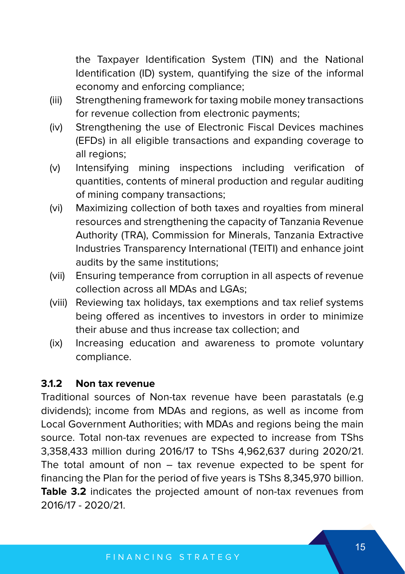the Taxpayer Identification System (TIN) and the National Identification (ID) system, quantifying the size of the informal economy and enforcing compliance;

- (iii) Strengthening framework for taxing mobile money transactions for revenue collection from electronic payments;
- (iv) Strengthening the use of Electronic Fiscal Devices machines (EFDs) in all eligible transactions and expanding coverage to all regions;
- (v) Intensifying mining inspections including verification of quantities, contents of mineral production and regular auditing of mining company transactions;
- (vi) Maximizing collection of both taxes and royalties from mineral resources and strengthening the capacity of Tanzania Revenue Authority (TRA), Commission for Minerals, Tanzania Extractive Industries Transparency International (TEITI) and enhance joint audits by the same institutions;
- (vii) Ensuring temperance from corruption in all aspects of revenue collection across all MDAs and LGAs;
- (viii) Reviewing tax holidays, tax exemptions and tax relief systems being offered as incentives to investors in order to minimize their abuse and thus increase tax collection; and
- (ix) Increasing education and awareness to promote voluntary compliance.

#### **3.1.2 Non tax revenue**

Traditional sources of Non-tax revenue have been parastatals (e.g dividends); income from MDAs and regions, as well as income from Local Government Authorities; with MDAs and regions being the main source. Total non-tax revenues are expected to increase from TShs 3,358,433 million during 2016/17 to TShs 4,962,637 during 2020/21. The total amount of non – tax revenue expected to be spent for financing the Plan for the period of five years is TShs 8,345,970 billion. **Table 3.2** indicates the projected amount of non-tax revenues from 2016/17 - 2020/21.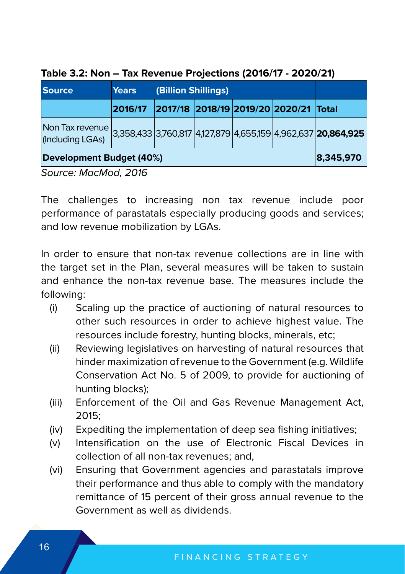| <b>Source</b>                                                                                    | <b>Years</b> | (Billion Shillings) |  |                                       |  |
|--------------------------------------------------------------------------------------------------|--------------|---------------------|--|---------------------------------------|--|
|                                                                                                  | 2016/17      |                     |  | 2017/18 2018/19 2019/20 2020/21 Total |  |
| Non Tax revenue 3,358,433 3,760,817 4,127,879 4,655,159 4,962,637 20,864,925<br>(Including LGAs) |              |                     |  |                                       |  |
| Development Budget (40%)                                                                         | 8,345,970    |                     |  |                                       |  |

#### **Table 3.2: Non – Tax Revenue Projections (2016/17 - 2020/21)**

Source: MacMod, 2016

The challenges to increasing non tax revenue include poor performance of parastatals especially producing goods and services; and low revenue mobilization by LGAs.

In order to ensure that non-tax revenue collections are in line with the target set in the Plan, several measures will be taken to sustain and enhance the non-tax revenue base. The measures include the following:

- (i) Scaling up the practice of auctioning of natural resources to other such resources in order to achieve highest value. The resources include forestry, hunting blocks, minerals, etc;
- (ii) Reviewing legislatives on harvesting of natural resources that hinder maximization of revenue to the Government (e.g. Wildlife Conservation Act No. 5 of 2009, to provide for auctioning of hunting blocks);
- (iii) Enforcement of the Oil and Gas Revenue Management Act,  $2015$
- (iv) Expediting the implementation of deep sea fishing initiatives;
- (v) Intensification on the use of Electronic Fiscal Devices in collection of all non-tax revenues; and,
- (vi) Ensuring that Government agencies and parastatals improve their performance and thus able to comply with the mandatory remittance of 15 percent of their gross annual revenue to the Government as well as dividends.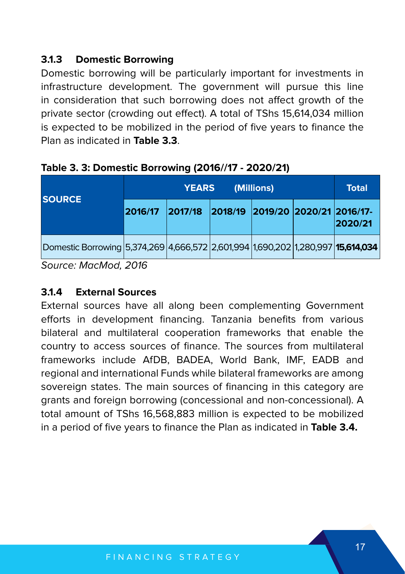# **3.1.3 Domestic Borrowing**

Domestic borrowing will be particularly important for investments in infrastructure development. The government will pursue this line in consideration that such borrowing does not affect growth of the private sector (crowding out effect). A total of TShs 15,614,034 million is expected to be mobilized in the period of five years to finance the Plan as indicated in **Table 3.3**.

|                                                                                 | <b>YEARS</b><br>(Millions) |         |  |                                  |  | <b>Total</b> |
|---------------------------------------------------------------------------------|----------------------------|---------|--|----------------------------------|--|--------------|
| <b>ISOURCE</b>                                                                  | 2016/17                    | 2017/18 |  | 2018/19 2019/20 2020/21 2016/17- |  | 2020/21      |
| Domestic Borrowing 5,374,269 4,666,572 2,601,994 1,690,202 1,280,997 15,614,034 |                            |         |  |                                  |  |              |

**Table 3. 3: Domestic Borrowing (2016//17 - 2020/21)**

Source: MacMod, 2016

## **3.1.4 External Sources**

External sources have all along been complementing Government efforts in development financing. Tanzania benefits from various bilateral and multilateral cooperation frameworks that enable the country to access sources of finance. The sources from multilateral frameworks include AfDB, BADEA, World Bank, IMF, EADB and regional and international Funds while bilateral frameworks are among sovereign states. The main sources of financing in this category are grants and foreign borrowing (concessional and non-concessional). A total amount of TShs 16,568,883 million is expected to be mobilized in a period of five years to finance the Plan as indicated in **Table 3.4.**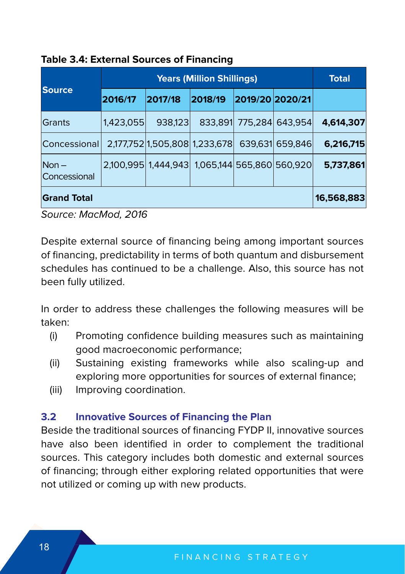|                                       |            | <b>Total</b>                                  |         |                         |                 |           |
|---------------------------------------|------------|-----------------------------------------------|---------|-------------------------|-----------------|-----------|
| <b>Source</b>                         | 2016/17    | 2017/18                                       | 2018/19 | 2019/20 2020/21         |                 |           |
| <b>Grants</b>                         | 1.423.055  | 938,123                                       |         | 833,891 775,284 643,954 |                 | 4,614,307 |
| <b>Concessional</b>                   |            | 2,177,752 1,505,808 1,233,678                 |         |                         | 639,631 659,846 | 6,216,715 |
| $Non -$<br><i><b>Concessional</b></i> |            | 2,100,995 1,444,943 1,065,144 565,860 560,920 |         |                         |                 | 5,737,861 |
| <b>Grand Total</b>                    | 16,568,883 |                                               |         |                         |                 |           |

#### **Table 3.4: External Sources of Financing**

Source: MacMod, 2016

Despite external source of financing being among important sources of financing, predictability in terms of both quantum and disbursement schedules has continued to be a challenge. Also, this source has not been fully utilized.

In order to address these challenges the following measures will be taken:

- (i) Promoting confidence building measures such as maintaining good macroeconomic performance;
- (ii) Sustaining existing frameworks while also scaling-up and exploring more opportunities for sources of external finance;
- (iii) Improving coordination.

#### **3.2 Innovative Sources of Financing the Plan**

Beside the traditional sources of financing FYDP II, innovative sources have also been identified in order to complement the traditional sources. This category includes both domestic and external sources of financing; through either exploring related opportunities that were not utilized or coming up with new products.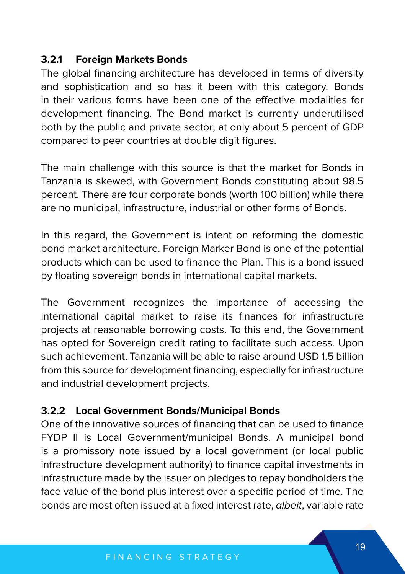### **3.2.1 Foreign Markets Bonds**

The global financing architecture has developed in terms of diversity and sophistication and so has it been with this category. Bonds in their various forms have been one of the effective modalities for development financing. The Bond market is currently underutilised both by the public and private sector; at only about 5 percent of GDP compared to peer countries at double digit figures.

The main challenge with this source is that the market for Bonds in Tanzania is skewed, with Government Bonds constituting about 98.5 percent. There are four corporate bonds (worth 100 billion) while there are no municipal, infrastructure, industrial or other forms of Bonds.

In this regard, the Government is intent on reforming the domestic bond market architecture. Foreign Marker Bond is one of the potential products which can be used to finance the Plan. This is a bond issued by floating sovereign bonds in international capital markets.

The Government recognizes the importance of accessing the international capital market to raise its finances for infrastructure projects at reasonable borrowing costs. To this end, the Government has opted for Sovereign credit rating to facilitate such access. Upon such achievement, Tanzania will be able to raise around USD 1.5 billion from this source for development financing, especially for infrastructure and industrial development projects.

#### **3.2.2 Local Government Bonds/Municipal Bonds**

One of the innovative sources of financing that can be used to finance FYDP II is Local Government/municipal Bonds. A municipal bond is a promissory note issued by a local government (or local public infrastructure development authority) to finance capital investments in infrastructure made by the issuer on pledges to repay bondholders the face value of the bond plus interest over a specific period of time. The bonds are most often issued at a fixed interest rate, albeit, variable rate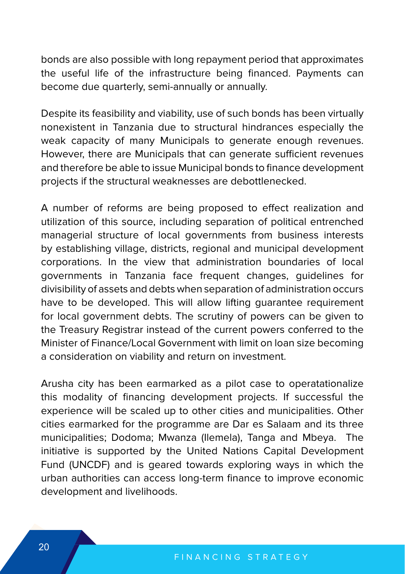bonds are also possible with long repayment period that approximates the useful life of the infrastructure being financed. Payments can become due quarterly, semi-annually or annually.

Despite its feasibility and viability, use of such bonds has been virtually nonexistent in Tanzania due to structural hindrances especially the weak capacity of many Municipals to generate enough revenues. However, there are Municipals that can generate sufficient revenues and therefore be able to issue Municipal bonds to finance development projects if the structural weaknesses are debottlenecked.

A number of reforms are being proposed to effect realization and utilization of this source, including separation of political entrenched managerial structure of local governments from business interests by establishing village, districts, regional and municipal development corporations. In the view that administration boundaries of local governments in Tanzania face frequent changes, guidelines for divisibility of assets and debts when separation of administration occurs have to be developed. This will allow lifting quarantee requirement for local government debts. The scrutiny of powers can be given to the Treasury Registrar instead of the current powers conferred to the Minister of Finance/Local Government with limit on loan size becoming a consideration on viability and return on investment.

Arusha city has been earmarked as a pilot case to operatationalize this modality of financing development projects. If successful the experience will be scaled up to other cities and municipalities. Other cities earmarked for the programme are Dar es Salaam and its three municipalities; Dodoma; Mwanza (Ilemela), Tanga and Mbeya. The initiative is supported by the United Nations Capital Development Fund (UNCDF) and is geared towards exploring ways in which the urban authorities can access long-term finance to improve economic development and livelihoods.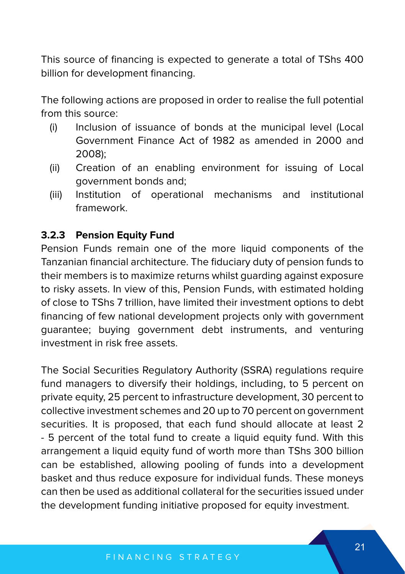This source of financing is expected to generate a total of TShs 400 billion for development financing.

The following actions are proposed in order to realise the full potential from this source:

- (i) Inclusion of issuance of bonds at the municipal level (Local Government Finance Act of 1982 as amended in 2000 and 2008);
- (ii) Creation of an enabling environment for issuing of Local government bonds and;
- (iii) Institution of operational mechanisms and institutional framework.

#### **3.2.3 Pension Equity Fund**

Pension Funds remain one of the more liquid components of the Tanzanian financial architecture. The fiduciary duty of pension funds to their members is to maximize returns whilst guarding against exposure to risky assets. In view of this, Pension Funds, with estimated holding of close to TShs 7 trillion, have limited their investment options to debt financing of few national development projects only with government guarantee; buying government debt instruments, and venturing investment in risk free assets.

The Social Securities Regulatory Authority (SSRA) regulations require fund managers to diversify their holdings, including, to 5 percent on private equity, 25 percent to infrastructure development, 30 percent to collective investment schemes and 20 up to 70 percent on government securities. It is proposed, that each fund should allocate at least 2 - 5 percent of the total fund to create a liquid equity fund. With this arrangement a liquid equity fund of worth more than TShs 300 billion can be established, allowing pooling of funds into a development basket and thus reduce exposure for individual funds. These moneys can then be used as additional collateral for the securities issued under the development funding initiative proposed for equity investment.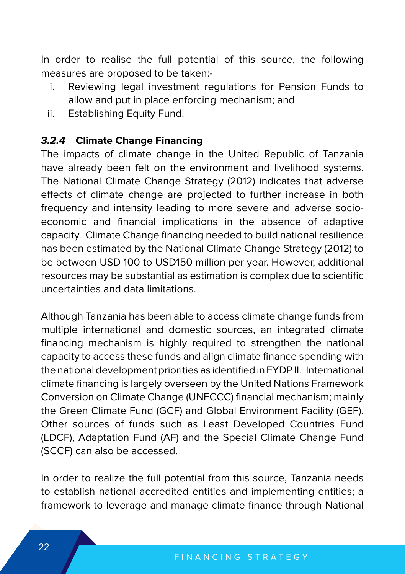In order to realise the full potential of this source, the following measures are proposed to be taken:-

- i. Reviewing legal investment regulations for Pension Funds to allow and put in place enforcing mechanism; and
- ii. Establishing Equity Fund.

#### **3.2.4 Climate Change Financing**

The impacts of climate change in the United Republic of Tanzania have already been felt on the environment and livelihood systems. The National Climate Change Strategy (2012) indicates that adverse effects of climate change are projected to further increase in both frequency and intensity leading to more severe and adverse socioeconomic and financial implications in the absence of adaptive capacity. Climate Change financing needed to build national resilience has been estimated by the National Climate Change Strategy (2012) to be between USD 100 to USD150 million per year. However, additional resources may be substantial as estimation is complex due to scientific uncertainties and data limitations.

Although Tanzania has been able to access climate change funds from multiple international and domestic sources, an integrated climate financing mechanism is highly required to strengthen the national capacity to access these funds and align climate finance spending with the national development priorities as identified in FYDP II. International climate financing is largely overseen by the United Nations Framework Conversion on Climate Change (UNFCCC) financial mechanism; mainly the Green Climate Fund (GCF) and Global Environment Facility (GEF). Other sources of funds such as Least Developed Countries Fund (LDCF), Adaptation Fund (AF) and the Special Climate Change Fund (SCCF) can also be accessed.

In order to realize the full potential from this source, Tanzania needs to establish national accredited entities and implementing entities; a framework to leverage and manage climate finance through National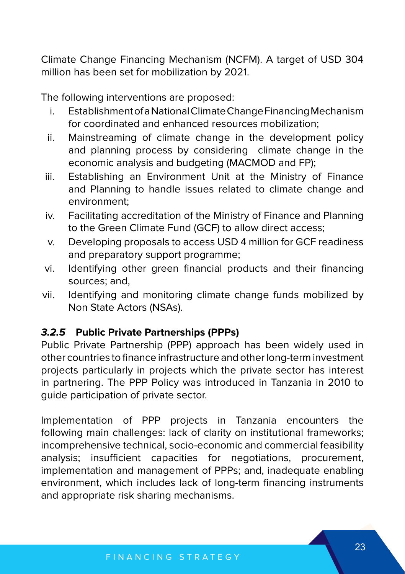Climate Change Financing Mechanism (NCFM). A target of USD 304 million has been set for mobilization by 2021.

The following interventions are proposed:

- i. Establishment of a National Climate Change Financing Mechanism for coordinated and enhanced resources mobilization;
- ii. Mainstreaming of climate change in the development policy and planning process by considering climate change in the economic analysis and budgeting (MACMOD and FP);
- iii. Establishing an Environment Unit at the Ministry of Finance and Planning to handle issues related to climate change and environment;
- iv. Facilitating accreditation of the Ministry of Finance and Planning to the Green Climate Fund (GCF) to allow direct access;
- v. Developing proposals to access USD 4 million for GCF readiness and preparatory support programme;
- vi. Identifying other green financial products and their financing sources; and,
- vii. Identifying and monitoring climate change funds mobilized by Non State Actors (NSAs).

# **3.2.5 Public Private Partnerships (PPPs)**

Public Private Partnership (PPP) approach has been widely used in other countries to finance infrastructure and other long-term investment projects particularly in projects which the private sector has interest in partnering. The PPP Policy was introduced in Tanzania in 2010 to guide participation of private sector.

Implementation of PPP projects in Tanzania encounters the following main challenges: lack of clarity on institutional frameworks; incomprehensive technical, socio-economic and commercial feasibility analysis; insufficient capacities for negotiations, procurement, implementation and management of PPPs; and, inadequate enabling environment, which includes lack of long-term financing instruments and appropriate risk sharing mechanisms.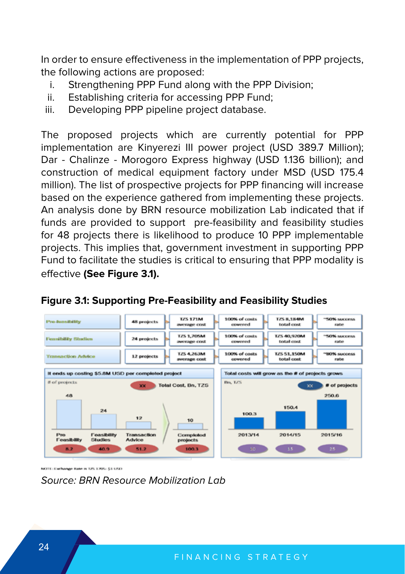In order to ensure effectiveness in the implementation of PPP projects, the following actions are proposed:

- i. Strengthening PPP Fund along with the PPP Division;
- ii. Establishing criteria for accessing PPP Fund;
- iii. Developing PPP pipeline project database.

The proposed projects which are currently potential for PPP implementation are Kinyerezi III power project (USD 389.7 Million); Dar - Chalinze - Morogoro Express highway (USD 1.136 billion); and construction of medical equipment factory under MSD (USD 175.4 million). The list of prospective projects for PPP financing will increase based on the experience gathered from implementing these projects. An analysis done by BRN resource mobilization Lab indicated that if funds are provided to support pre-feasibility and feasibility studies for 48 projects there is likelihood to produce 10 PPP implementable projects. This implies that, government investment in supporting PPP Fund to facilitate the studies is critical to ensuring that PPP modality is effective **(See Figure 3.1).**



## **Figure 3.1: Supporting Pre-Feasibility and Feasibility Studies**

NOTE: Exchange Rate is T2S 1705: \$1 USD

Source: BRN Resource Mobilization Lab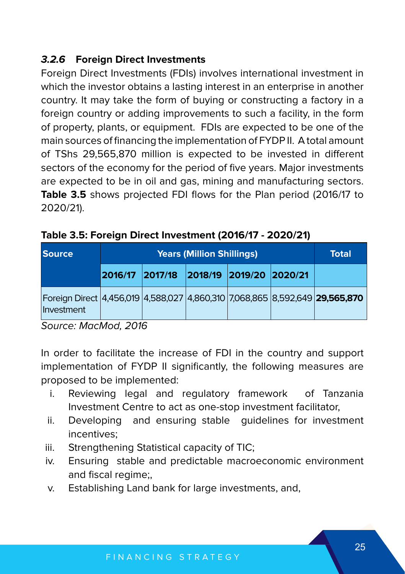# **3.2.6 Foreign Direct Investments**

Foreign Direct Investments (FDIs) involves international investment in which the investor obtains a lasting interest in an enterprise in another country. It may take the form of buying or constructing a factory in a foreign country or adding improvements to such a facility, in the form of property, plants, or equipment. FDIs are expected to be one of the main sources of financing the implementation of FYDP II. A total amount of TShs 29,565,870 million is expected to be invested in different sectors of the economy for the period of five years. Major investments are expected to be in oil and gas, mining and manufacturing sectors. **Table 3.5** shows projected FDI flows for the Plan period (2016/17 to 2020/21).

| <b>Source</b>                                                                             |                                         | <b>Years (Million Shillings)</b> |  | Total |
|-------------------------------------------------------------------------------------------|-----------------------------------------|----------------------------------|--|-------|
|                                                                                           | 2016/17 2017/18 2018/19 2019/20 2020/21 |                                  |  |       |
| Foreign Direct 4,456,019 4,588,027 4,860,310 7,068,865 8,592,649 29,565,870<br>Investment |                                         |                                  |  |       |

**Table 3.5: Foreign Direct Investment (2016/17 - 2020/21)**

Source: MacMod, 2016

In order to facilitate the increase of FDI in the country and support implementation of FYDP II significantly, the following measures are proposed to be implemented:

- i. Reviewing legal and regulatory framework of Tanzania Investment Centre to act as one-stop investment facilitator,
- ii. Developing and ensuring stable guidelines for investment incentives;
- iii. Strengthening Statistical capacity of TIC;
- iv. Ensuring stable and predictable macroeconomic environment and fiscal regime;,
- v. Establishing Land bank for large investments, and,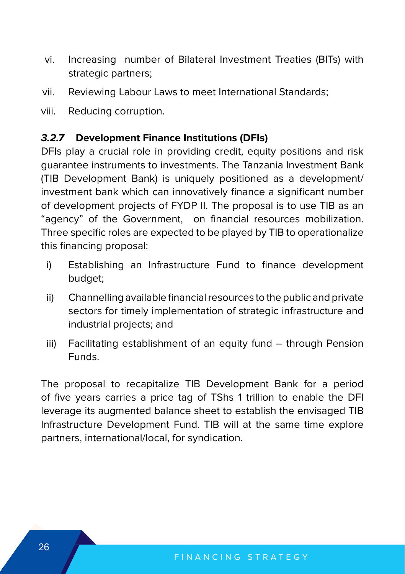- vi. Increasing number of Bilateral Investment Treaties (BITs) with strategic partners;
- vii. Reviewing Labour Laws to meet International Standards;
- viii. Reducing corruption.

# **3.2.7 Development Finance Institutions (DFIs)**

DFIs play a crucial role in providing credit, equity positions and risk guarantee instruments to investments. The Tanzania Investment Bank (TIB Development Bank) is uniquely positioned as a development/ investment bank which can innovatively finance a significant number of development projects of FYDP II. The proposal is to use TIB as an "agency" of the Government, on financial resources mobilization. Three specific roles are expected to be played by TIB to operationalize this financing proposal:

- i) Establishing an Infrastructure Fund to finance development budget;
- ii) Channelling available financial resources to the public and private sectors for timely implementation of strategic infrastructure and industrial projects; and
- iii) Facilitating establishment of an equity fund through Pension Funds.

The proposal to recapitalize TIB Development Bank for a period of five years carries a price tag of TShs 1 trillion to enable the DFI leverage its augmented balance sheet to establish the envisaged TIB Infrastructure Development Fund. TIB will at the same time explore partners, international/local, for syndication.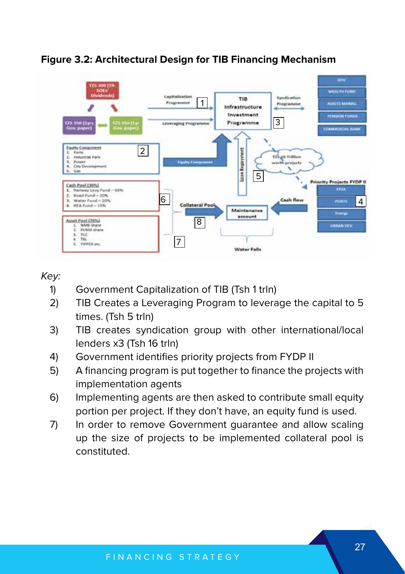

#### **Figure 3.2: Architectural Design for TIB Financing Mechanism**

#### Key:

- 1) Government Capitalization of TIB (Tsh 1 trln)
- 2) TIB Creates a Leveraging Program to leverage the capital to 5 times. (Tsh 5 trln)
- 3) TIB creates syndication group with other international/local lenders x3 (Tsh 16 trln)
- 4) Government identifies priority projects from FYDP II
- 5) A financing program is put together to finance the projects with implementation agents
- 6) Implementing agents are then asked to contribute small equity portion per project. If they don't have, an equity fund is used.
- 7) In order to remove Government guarantee and allow scaling up the size of projects to be implemented collateral pool is constituted.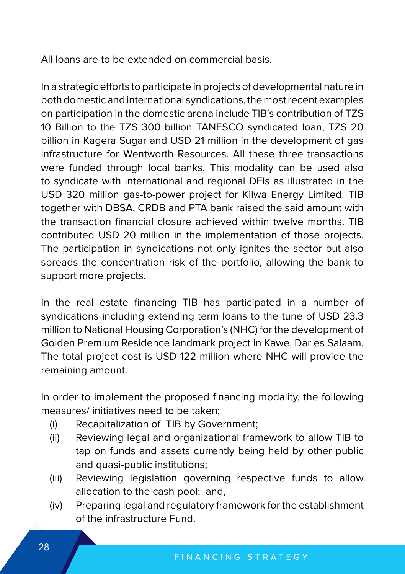All loans are to be extended on commercial basis.

In a strategic efforts to participate in projects of developmental nature in both domestic and international syndications, the most recent examples on participation in the domestic arena include TIB's contribution of TZS 10 Billion to the TZS 300 billion TANESCO syndicated loan, TZS 20 billion in Kagera Sugar and USD 21 million in the development of gas infrastructure for Wentworth Resources. All these three transactions were funded through local banks. This modality can be used also to syndicate with international and regional DFIs as illustrated in the USD 320 million gas-to-power project for Kilwa Energy Limited. TIB together with DBSA, CRDB and PTA bank raised the said amount with the transaction financial closure achieved within twelve months. TIB contributed USD 20 million in the implementation of those projects. The participation in syndications not only ignites the sector but also spreads the concentration risk of the portfolio, allowing the bank to support more projects.

In the real estate financing TIB has participated in a number of syndications including extending term loans to the tune of USD 23.3 million to National Housing Corporation's (NHC) for the development of Golden Premium Residence landmark project in Kawe, Dar es Salaam. The total project cost is USD 122 million where NHC will provide the remaining amount.

In order to implement the proposed financing modality, the following measures/ initiatives need to be taken;

- (i) Recapitalization of TIB by Government;
- (ii) Reviewing legal and organizational framework to allow TIB to tap on funds and assets currently being held by other public and quasi-public institutions;
- (iii) Reviewing legislation governing respective funds to allow allocation to the cash pool; and,
- (iv) Preparing legal and regulatory framework for the establishment of the infrastructure Fund.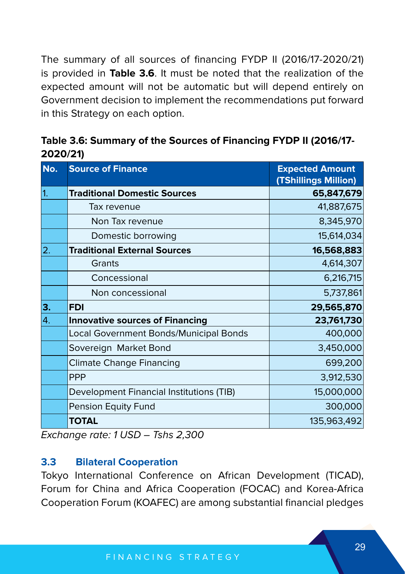The summary of all sources of financing FYDP II (2016/17-2020/21) is provided in **Table 3.6**. It must be noted that the realization of the expected amount will not be automatic but will depend entirely on Government decision to implement the recommendations put forward in this Strategy on each option.

|                | ZUZU/ZT)                               |                                                |
|----------------|----------------------------------------|------------------------------------------------|
| No.            | <b>Source of Finance</b>               | <b>Expected Amount</b><br>(TShillings Million) |
| $\overline{1}$ | <b>Traditional Domestic Sources</b>    | 65,847,679                                     |
|                | Tax revenue                            | 41,887,675                                     |
|                | Non Tax revenue                        | 8,345,970                                      |
|                | Domestic borrowing                     | 15,614,034                                     |
| 2.             | <b>Traditional External Sources</b>    | 16,568,883                                     |
|                | Grants                                 | 4,614,307                                      |
|                | Concessional                           | 6,216,715                                      |
|                | Non concessional                       | 5,737,861                                      |
| 3.             | <b>FDI</b>                             | 29,565,870                                     |
| 4.             | <b>Innovative sources of Financing</b> | 23,761,730                                     |
|                | Local Government Bonds/Municipal Bonds | 400,000                                        |
|                | Sovereign Market Bond                  | 3,450,000                                      |
|                | <b>Climate Change Financing</b>        | 699,200                                        |
|                | <b>PPP</b>                             | 3,912,530                                      |

| Table 3.6: Summary of the Sources of Financing FYDP II (2016/17- |  |
|------------------------------------------------------------------|--|
| 2020/21)                                                         |  |

Exchange rate: 1 USD – Tshs 2,300

#### **3.3 Bilateral Cooperation**

Tokyo International Conference on African Development (TICAD), Forum for China and Africa Cooperation (FOCAC) and Korea-Africa Cooperation Forum (KOAFEC) are among substantial financial pledges

Development Financial Institutions (TIB) 15,000,000 Pension Equity Fund 300,000 **TOTAL** 135,963,492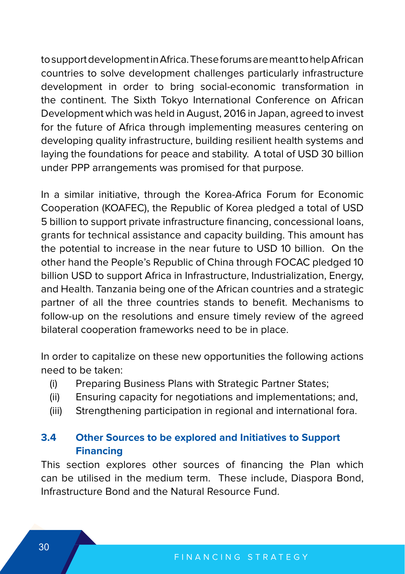to support development in Africa. These forums are meant to help African countries to solve development challenges particularly infrastructure development in order to bring social-economic transformation in the continent. The Sixth Tokyo International Conference on African Development which was held in August, 2016 in Japan, agreed to invest for the future of Africa through implementing measures centering on developing quality infrastructure, building resilient health systems and laying the foundations for peace and stability. A total of USD 30 billion under PPP arrangements was promised for that purpose.

In a similar initiative, through the Korea-Africa Forum for Economic Cooperation (KOAFEC), the Republic of Korea pledged a total of USD 5 billion to support private infrastructure financing, concessional loans, grants for technical assistance and capacity building. This amount has the potential to increase in the near future to USD 10 billion. On the other hand the People's Republic of China through FOCAC pledged 10 billion USD to support Africa in Infrastructure, Industrialization, Energy, and Health. Tanzania being one of the African countries and a strategic partner of all the three countries stands to benefit. Mechanisms to follow-up on the resolutions and ensure timely review of the agreed bilateral cooperation frameworks need to be in place.

In order to capitalize on these new opportunities the following actions need to be taken:

- (i) Preparing Business Plans with Strategic Partner States;
- (ii) Ensuring capacity for negotiations and implementations; and,
- (iii) Strengthening participation in regional and international fora.

# **3.4 Other Sources to be explored and Initiatives to Support Financing**

This section explores other sources of financing the Plan which can be utilised in the medium term. These include, Diaspora Bond, Infrastructure Bond and the Natural Resource Fund.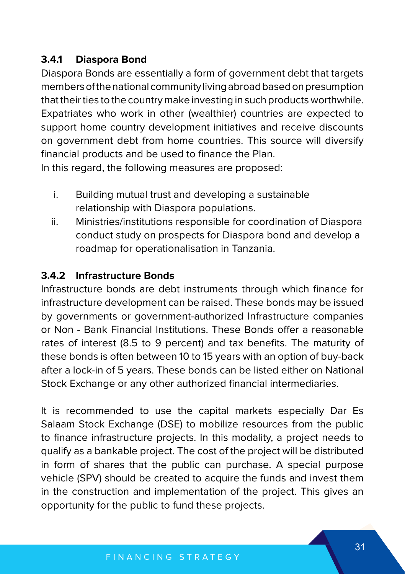# **3.4.1 Diaspora Bond**

Diaspora Bonds are essentially a form of government debt that targets members of the national community living abroad based on presumption that their ties to the country make investing in such products worthwhile. Expatriates who work in other (wealthier) countries are expected to support home country development initiatives and receive discounts on government debt from home countries. This source will diversify financial products and be used to finance the Plan.

In this regard, the following measures are proposed:

- i. Building mutual trust and developing a sustainable relationship with Diaspora populations.
- ii. Ministries/institutions responsible for coordination of Diaspora conduct study on prospects for Diaspora bond and develop a roadmap for operationalisation in Tanzania.

# **3.4.2 Infrastructure Bonds**

Infrastructure bonds are debt instruments through which finance for infrastructure development can be raised. These bonds may be issued by governments or government-authorized Infrastructure companies or Non - Bank Financial Institutions. These Bonds offer a reasonable rates of interest (8.5 to 9 percent) and tax benefits. The maturity of these bonds is often between 10 to 15 years with an option of buy-back after a lock-in of 5 years. These bonds can be listed either on National Stock Exchange or any other authorized financial intermediaries.

It is recommended to use the capital markets especially Dar Es Salaam Stock Exchange (DSE) to mobilize resources from the public to finance infrastructure projects. In this modality, a project needs to qualify as a bankable project. The cost of the project will be distributed in form of shares that the public can purchase. A special purpose vehicle (SPV) should be created to acquire the funds and invest them in the construction and implementation of the project. This gives an opportunity for the public to fund these projects.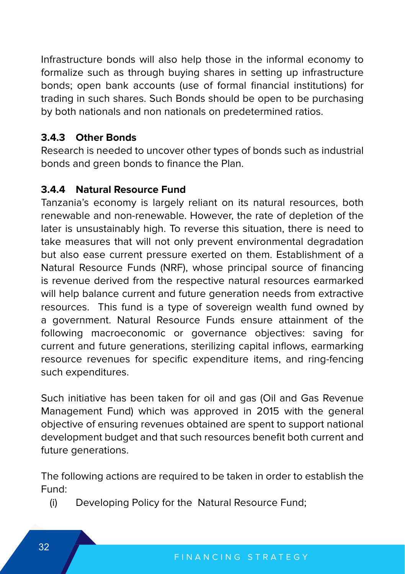Infrastructure bonds will also help those in the informal economy to formalize such as through buying shares in setting up infrastructure bonds; open bank accounts (use of formal financial institutions) for trading in such shares. Such Bonds should be open to be purchasing by both nationals and non nationals on predetermined ratios.

## **3.4.3 Other Bonds**

Research is needed to uncover other types of bonds such as industrial bonds and green bonds to finance the Plan.

## **3.4.4 Natural Resource Fund**

Tanzania's economy is largely reliant on its natural resources, both renewable and non-renewable. However, the rate of depletion of the later is unsustainably high. To reverse this situation, there is need to take measures that will not only prevent environmental degradation but also ease current pressure exerted on them. Establishment of a Natural Resource Funds (NRF), whose principal source of financing is revenue derived from the respective natural resources earmarked will help balance current and future generation needs from extractive resources. This fund is a type of sovereign wealth fund owned by a government. Natural Resource Funds ensure attainment of the following macroeconomic or governance objectives: saving for current and future generations, sterilizing capital inflows, earmarking resource revenues for specific expenditure items, and ring-fencing such expenditures.

Such initiative has been taken for oil and gas (Oil and Gas Revenue Management Fund) which was approved in 2015 with the general objective of ensuring revenues obtained are spent to support national development budget and that such resources benefit both current and future generations.

The following actions are required to be taken in order to establish the Fund:

(i) Developing Policy for the Natural Resource Fund;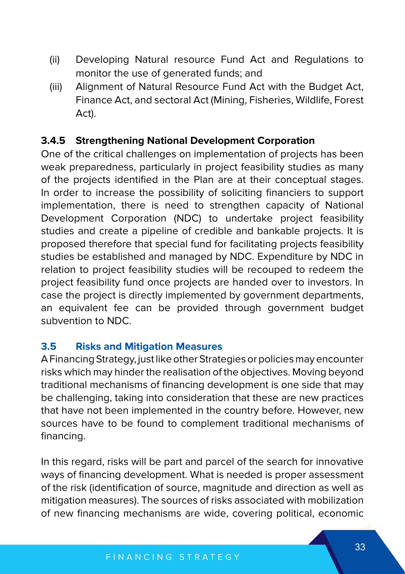- (ii) Developing Natural resource Fund Act and Regulations to monitor the use of generated funds; and
- (iii) Alignment of Natural Resource Fund Act with the Budget Act, Finance Act, and sectoral Act (Mining, Fisheries, Wildlife, Forest Act).

#### **3.4.5 Strengthening National Development Corporation**

One of the critical challenges on implementation of projects has been weak preparedness, particularly in project feasibility studies as many of the projects identified in the Plan are at their conceptual stages. In order to increase the possibility of soliciting financiers to support implementation, there is need to strengthen capacity of National Development Corporation (NDC) to undertake project feasibility studies and create a pipeline of credible and bankable projects. It is proposed therefore that special fund for facilitating projects feasibility studies be established and managed by NDC. Expenditure by NDC in relation to project feasibility studies will be recouped to redeem the project feasibility fund once projects are handed over to investors. In case the project is directly implemented by government departments, an equivalent fee can be provided through government budget subvention to NDC.

#### **3.5 Risks and Mitigation Measures**

A Financing Strategy, just like other Strategies or policies may encounter risks which may hinder the realisation of the objectives. Moving beyond traditional mechanisms of financing development is one side that may be challenging, taking into consideration that these are new practices that have not been implemented in the country before. However, new sources have to be found to complement traditional mechanisms of financing.

In this regard, risks will be part and parcel of the search for innovative ways of financing development. What is needed is proper assessment of the risk (identification of source, magnitude and direction as well as mitigation measures). The sources of risks associated with mobilization of new financing mechanisms are wide, covering political, economic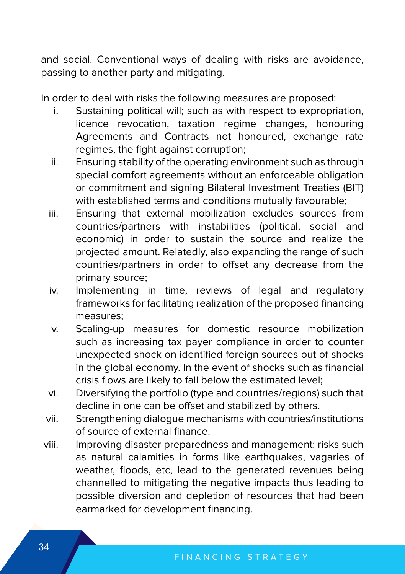and social. Conventional ways of dealing with risks are avoidance, passing to another party and mitigating.

In order to deal with risks the following measures are proposed:

- i. Sustaining political will; such as with respect to expropriation, licence revocation, taxation regime changes, honouring Agreements and Contracts not honoured, exchange rate regimes, the fight against corruption;
- ii. Ensuring stability of the operating environment such as through special comfort agreements without an enforceable obligation or commitment and signing Bilateral Investment Treaties (BIT) with established terms and conditions mutually favourable;
- iii. Ensuring that external mobilization excludes sources from countries/partners with instabilities (political, social and economic) in order to sustain the source and realize the projected amount. Relatedly, also expanding the range of such countries/partners in order to offset any decrease from the primary source;
- iv. Implementing in time, reviews of legal and regulatory frameworks for facilitating realization of the proposed financing measures;
- v. Scaling-up measures for domestic resource mobilization such as increasing tax payer compliance in order to counter unexpected shock on identified foreign sources out of shocks in the global economy. In the event of shocks such as financial crisis flows are likely to fall below the estimated level;
- vi. Diversifying the portfolio (type and countries/regions) such that decline in one can be offset and stabilized by others.
- vii. Strengthening dialogue mechanisms with countries/institutions of source of external finance.
- viii. Improving disaster preparedness and management: risks such as natural calamities in forms like earthquakes, vagaries of weather, floods, etc, lead to the generated revenues being channelled to mitigating the negative impacts thus leading to possible diversion and depletion of resources that had been earmarked for development financing.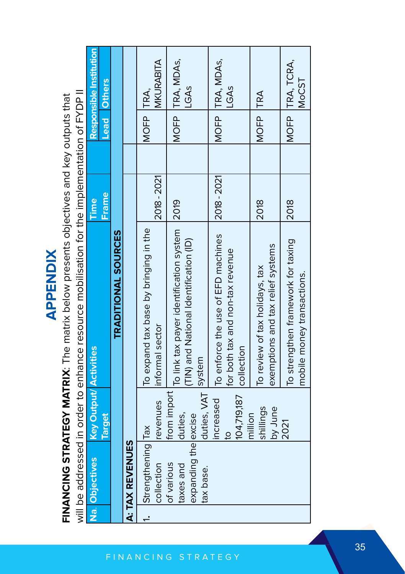| ___ |  |
|-----|--|
| Ξ   |  |
|     |  |
|     |  |
| т   |  |

FINANCING STRATEGY MATRIX: The matrix below presents objectives and key outputs that **FINANCING STRATEGY MATRIX**: The matrix below presents objectives and key outputs that

will be addressed in order to enhance resource mobilisation for the implementation of FYDP II will be addressed in order to enhance resource mobilisation for the implementation of FYDP II

| Na. Objectives                                               | <b>Key Output/ Activities</b>                 |                                                                                        | Time        |                    | Responsible Institution         |
|--------------------------------------------------------------|-----------------------------------------------|----------------------------------------------------------------------------------------|-------------|--------------------|---------------------------------|
|                                                              | <b>Target</b>                                 |                                                                                        | Frame       | <b>Lead Others</b> |                                 |
|                                                              |                                               | <b>TRADITIONAL SOURCES</b>                                                             |             |                    |                                 |
| <b>A: TAX REVENUES</b>                                       |                                               |                                                                                        |             |                    |                                 |
| Strengthening Tax<br>collection                              | revenues                                      | To expand tax base by bringing in the<br>informal sector                               | 2018 - 2021 | MOFP TRA,          | MKURABITA                       |
| expanding the excise<br>of various<br>taxes and<br>tax base. | duties, VAT  System<br>from import<br>duties, | To link tax payer identification system 2019<br>(TIN) and National Identification (ID) |             |                    | MOFP TRA, MDAS,<br>LGAS         |
|                                                              | 104,719,187<br>increased                      | To enforce the use of EFD machines<br>for both tax and non-tax revenue<br>collection   | 2018 - 2021 |                    | MOFP TRA, MDAS,<br><b>GAS</b>   |
|                                                              | shillings<br>by June<br>million               | exemptions and tax relief systems<br>To review of tax holidays, tax                    | 2018        | MOFP TRA           |                                 |
|                                                              | 2021                                          | To strengthen framework for taxing<br>mobile money transactions.                       | 2018        |                    | MOFP TRA, TCRA,<br><b>MoCST</b> |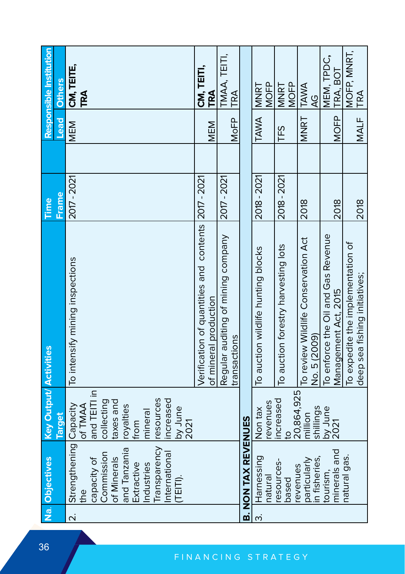|                         | Na. Objectives                                                                                                                                                    | <b>Key Output/ Activities</b>                                                                                                                        |                                                                              | Time        |     |             | Responsible Institution    |
|-------------------------|-------------------------------------------------------------------------------------------------------------------------------------------------------------------|------------------------------------------------------------------------------------------------------------------------------------------------------|------------------------------------------------------------------------------|-------------|-----|-------------|----------------------------|
|                         |                                                                                                                                                                   | <b>Target</b>                                                                                                                                        |                                                                              | Frame       |     | Lead        | <b>Others</b>              |
| $\overline{\mathsf{N}}$ | Strengthening Capacity<br>Transparency<br>and Tanzania<br>nternational<br>Commission<br>of Minerals<br>capacity of<br>Extractive<br>Industries<br>(TEITI).<br>eq. | and TEITI in<br>resources<br>increased<br>collecting<br>taxes and<br>of TMAA<br>royalties<br>$\frac{\text{by June}}{\text{2021}}$<br>mineral<br>from | To intensify mining inspections                                              | 2017 - 2021 |     | MEM         | CM, TEITE,<br>TRA          |
|                         |                                                                                                                                                                   |                                                                                                                                                      | Verification of quantities and contents 2017 - 2021<br>of mineral production |             |     | MEM         | CM, TEITI,<br>TRA          |
|                         |                                                                                                                                                                   |                                                                                                                                                      | Regular auditing of mining company<br>ransactions                            | 2017 - 2021 |     | MoFP        | TMAA, TEITI,<br>TRA        |
|                         | <b>B. NON TAX REVENUES</b>                                                                                                                                        |                                                                                                                                                      |                                                                              |             |     |             |                            |
| $\dot{\mathsf{c}}$      | Harnessing<br>hatural                                                                                                                                             | evenues<br>Non tax                                                                                                                                   | To auction wildlife hunting blocks                                           | 2018 - 2021 |     | TAWA        | <b>MOFP</b><br><b>MNRT</b> |
|                         | esources-<br>based                                                                                                                                                | 20,864,925<br>increased<br>$\overline{c}$                                                                                                            | To auction forestry harvesting lots                                          | 2018 - 2021 | TFS |             | <b>MOFP</b><br><b>MNRT</b> |
|                         | in fisheries,<br>particularly<br>revenues                                                                                                                         | shillings<br>million                                                                                                                                 | To review Wildlife Conservation Act<br>No. 5 (2009)                          | 2018        |     | MNRT        | TAWA<br>QQ                 |
|                         | minerals and<br>tourism.                                                                                                                                          | by June<br>2021                                                                                                                                      | To enforce the Oil and Gas Revenue<br>Management Act, 2015                   | 2018        |     | <b>MOFP</b> | MEM, TPDC,<br>TRA, BOT     |
|                         | natural gas.                                                                                                                                                      |                                                                                                                                                      | To expedite the implementation of<br>deep sea fishing initiatives;           | 2018        |     | MALF        | MOFP, MNRT,<br>TRA         |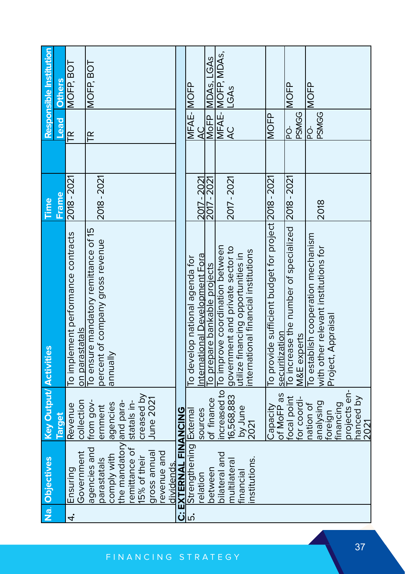|    | Na. Objectives                                                               | <b>Key Output/ Activities</b> |                                                                        | Time         |                     | Responsible Institution |
|----|------------------------------------------------------------------------------|-------------------------------|------------------------------------------------------------------------|--------------|---------------------|-------------------------|
|    |                                                                              | <b>Target</b>                 |                                                                        | <b>Frame</b> | <b>Lead</b>         | <b>Others</b>           |
| 4. | Government<br>Ensuring                                                       | collection<br>Revenue         | To implement performance contracts<br>on parastatals                   | 2018 - 2021  | E                   | MOFP, BOT               |
|    | agencies and                                                                 | from gov-                     | To ensure mandatory remittance of 15                                   |              | FŘ                  | MOFP, BOT               |
|    | parastatals                                                                  | ernment                       | percent of company gross revenue                                       | 2018 - 2021  |                     |                         |
|    | comply with                                                                  | agencies                      | annually                                                               |              |                     |                         |
|    | the mandatory and para-                                                      |                               |                                                                        |              |                     |                         |
|    | remittance of<br>15% of their                                                | creased by<br>statals in-     |                                                                        |              |                     |                         |
|    | gross annual                                                                 | June 2021                     |                                                                        |              |                     |                         |
|    | revenue and                                                                  |                               |                                                                        |              |                     |                         |
|    | dividends.                                                                   |                               |                                                                        |              |                     |                         |
|    |                                                                              |                               |                                                                        |              |                     |                         |
|    | C: EXTERNAL FINANCING<br>5. Strengthening External<br>Strengthening External |                               | To develop national agenda for                                         |              | MFAE-MOFP           |                         |
|    | relation                                                                     | sources                       | nternational Development Fora                                          | 2017 - 2021  | <u>५</u>            |                         |
|    | between                                                                      | of finance                    | To prepare bankable projects                                           | 2017 - 2021  |                     | MOFP MDAS, LGAS         |
|    | bilateral and                                                                | increased to                  | To improve coordination between                                        |              |                     | MFAE- MOFP, MDAS,       |
|    | multilateral                                                                 | 16,568,883                    | government and private sector to                                       | 2017 - 2021  | $\overline{4}$      | LGAS                    |
|    | financial                                                                    | by June                       | utilize financing opportunities in                                     |              |                     |                         |
|    | nstitutions.                                                                 | 2021                          | nternational financial institutions                                    |              |                     |                         |
|    |                                                                              |                               |                                                                        |              |                     |                         |
|    |                                                                              | of MoFP as<br>Capacity        | To provide sufficient budget for project 2018 - 2021<br>securitization |              | <b>MOFP</b>         |                         |
|    |                                                                              | focal point                   | To increase the number of specialized 2018 - 2021                      |              | $\frac{1}{2}$       | <b>MOFP</b>             |
|    |                                                                              | for coordi-                   | M&E experts                                                            |              | <b>PSMGG</b>        |                         |
|    |                                                                              | prisylana<br>nation of        | To establish cooperation mechanism                                     | 2018         | <b>PSMGG</b><br>-Od | <b>MOFP</b>             |
|    |                                                                              | foreign                       | with other relevant institutions for                                   |              |                     |                         |
|    |                                                                              | financing                     | Project, Appraisal                                                     |              |                     |                         |
|    |                                                                              | projects en-                  |                                                                        |              |                     |                         |
|    |                                                                              | hanced by<br>2021             |                                                                        |              |                     |                         |
|    |                                                                              |                               |                                                                        |              |                     |                         |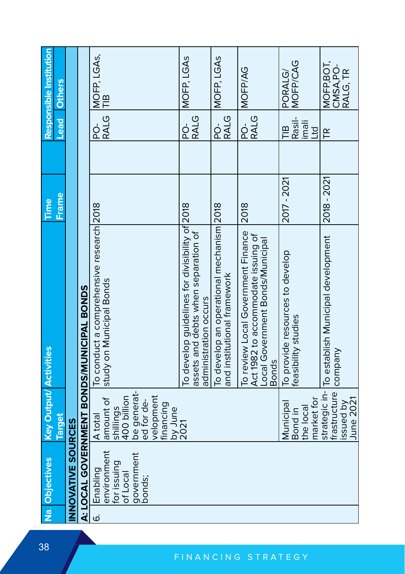| Responsible Institution       | <b>Others</b> |                           |                                           | MOFP, LGAs,<br>TIB                                                   |                                                                | MOFP, LGAS                                                                                                     | MOFP, LGAs                                                              | MOFP/AG                                                                                                                      | MOFP/CAG<br>PORALG/                                    | MOFP, BOT,<br>CMSA,PO-<br>RALG, TR                            |
|-------------------------------|---------------|---------------------------|-------------------------------------------|----------------------------------------------------------------------|----------------------------------------------------------------|----------------------------------------------------------------------------------------------------------------|-------------------------------------------------------------------------|------------------------------------------------------------------------------------------------------------------------------|--------------------------------------------------------|---------------------------------------------------------------|
|                               | <b>Lead</b>   |                           |                                           | <b>RALG</b><br>p                                                     |                                                                | <b>RALG</b><br>ò<br>2                                                                                          | <b>RALG</b><br>d<br>R                                                   | <b>RALG</b><br>ģ                                                                                                             | Rasil-<br>imali<br>$\mathbb{R}$<br>Ltd                 | F                                                             |
| Time                          | Frame         |                           |                                           |                                                                      |                                                                |                                                                                                                |                                                                         | 2018                                                                                                                         | 2017 - 2021                                            | 2018 - 2021                                                   |
|                               |               |                           | A: LOCAL GOVERNMENT BONDS/MUNICIPAL BONDS | To conduct a comprehensive research 2018<br>study on Municipal Bonds |                                                                | To develop guidelines for divisibility of 2018<br>assets and debts when separation of<br>administration occurs | To develop an operational mechanism 2018<br>and institutional framework | To review Local Government Finance<br>Act 1982 to accommodate issuing of<br>Local Government Bonds/Municipal<br><b>Bonds</b> | To provide resources to develop<br>feasibility studies | strategic in-   To establish Municipal development<br>company |
| <b>Key Output/ Activities</b> | Target        |                           |                                           | 400 billion<br>amount of<br>shillings<br>A total                     | be generat-<br>ed for de-<br>velopment<br>financing<br>by June | 2021                                                                                                           |                                                                         |                                                                                                                              | market for<br>Municipal<br>the local<br>Bond in        | frastructure<br>June 2021<br>ssued by                         |
| Na. Objectives                |               | <b>INNOVATIVE SOURCES</b> |                                           | environment<br>for issuing<br>Enabling<br>of Local                   | government<br>bonds;                                           |                                                                                                                |                                                                         |                                                                                                                              |                                                        |                                                               |
|                               |               |                           |                                           | <u>ن</u>                                                             |                                                                |                                                                                                                |                                                                         |                                                                                                                              |                                                        |                                                               |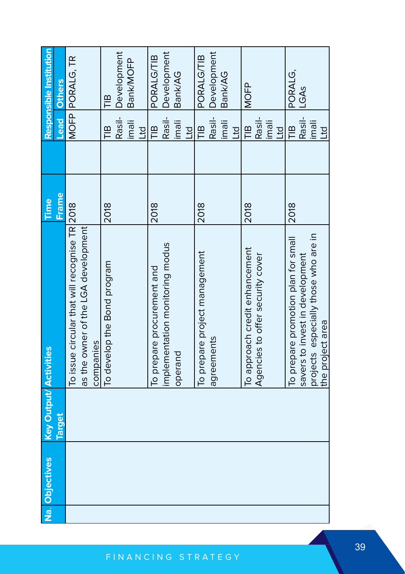| Na. Objectives | <b>Key Output/ Activities</b> |                                               | Time         |                      | Responsible Institution |
|----------------|-------------------------------|-----------------------------------------------|--------------|----------------------|-------------------------|
|                | <b>Target</b>                 |                                               | <b>Frame</b> | <b>Lead</b>          | <b>Others</b>           |
|                |                               | To issue circular that will recognise TR 2018 |              |                      | MOFP PORALG, TR         |
|                |                               | as the owner of the LGA development           |              |                      |                         |
|                |                               | companies                                     |              |                      |                         |
|                |                               | To develop the Bond program                   | 2018         | $\frac{1}{2}$        | TIB                     |
|                |                               |                                               |              |                      | Rasil-   Development    |
|                |                               |                                               |              | imali                | Bank/MOFP               |
|                |                               |                                               |              | <b>D<sub>1</sub></b> |                         |
|                |                               | To prepare procurement and                    | 2018         | $\mathbb{R}$         | PORALG/TIB              |
|                |                               | implementation monitoring modus               |              |                      | Rasil- Development      |
|                |                               | operand                                       |              | imali                | Bank/AG                 |
|                |                               |                                               |              | <b>DT</b>            |                         |
|                |                               | To prepare project management                 | 2018         | ≘                    | PORALG/TIB              |
|                |                               | agreements                                    |              |                      | Rasil- Development      |
|                |                               |                                               |              | ilmali               | Bank/AG                 |
|                |                               |                                               |              | <b>DT</b>            |                         |
|                |                               | To approach credit enhancement                | 2018         | $\frac{1}{1}$        | <b>MOFP</b>             |
|                |                               | Agencies to offer security cover              |              | Rasil-               |                         |
|                |                               |                                               |              | imali                |                         |
|                |                               |                                               |              | <b>DTT</b>           |                         |
|                |                               | To prepare promotion plan for small           | 2018         | $\frac{10}{11}$      | PORALG,                 |
|                |                               | savers to invest in development               |              | Rasil-               | LGAs                    |
|                |                               | projects especially those who are in          |              | ilmali               |                         |
|                |                               | the project area                              |              | <b>Ltd</b>           |                         |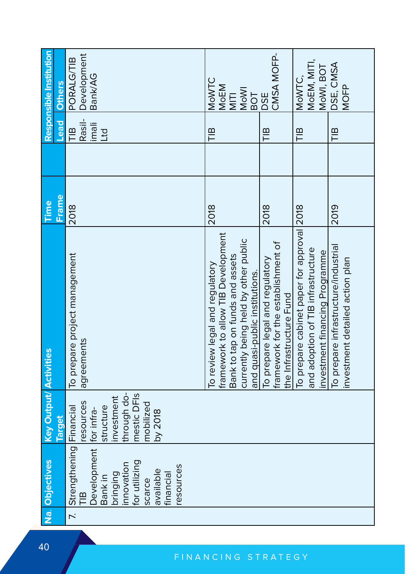| Responsible Institution       | <b>Others</b> | Development<br>Bank/AG<br><b>PORALG/TIB</b>                                                                                                                          | MOWTC<br>MOEM<br><b>MoWI</b><br>$\frac{1}{2}$<br>BOT                                                                                                                              | CMSA MOFP-<br><b>DSE</b>                                                                         | MoEM, MITI,<br>MoWI, BOT<br>MoWTC,                                                                                | DSE, CMSA<br><b>MOFP</b>                                                |
|-------------------------------|---------------|----------------------------------------------------------------------------------------------------------------------------------------------------------------------|-----------------------------------------------------------------------------------------------------------------------------------------------------------------------------------|--------------------------------------------------------------------------------------------------|-------------------------------------------------------------------------------------------------------------------|-------------------------------------------------------------------------|
|                               | <b>Lead</b>   | Rasil-<br>ilemi<br>$\frac{1}{2}$<br>Ltd                                                                                                                              | $\frac{10}{11}$                                                                                                                                                                   | ÎВ                                                                                               | $\frac{10}{10}$                                                                                                   | $\frac{10}{11}$                                                         |
|                               |               |                                                                                                                                                                      |                                                                                                                                                                                   |                                                                                                  |                                                                                                                   |                                                                         |
| Time                          | Frame         | 2018                                                                                                                                                                 | 2018                                                                                                                                                                              | 2018                                                                                             |                                                                                                                   | 2019                                                                    |
|                               |               | To prepare project management<br>agreements                                                                                                                          | framework to allow TIB Development<br>currently being held by other public<br>and quasi-public institutions.<br>Bank to tap on funds and assets<br>To review legal and regulatory | framework for the establishment of<br>To prepare legal and regulatory<br>the Infrastructure Fund | To prepare cabinet paper for approval 2018<br>and adoption of TIB infrastructure<br>nvestment financing Programme | To prepare infrastructure/industrial<br>investment detailed action plan |
| <b>Key Output/ Activities</b> | <b>Target</b> | through do-<br>mestic DFIs<br>investment<br>resources<br>mobilized<br>structure<br>by 2018                                                                           |                                                                                                                                                                                   |                                                                                                  |                                                                                                                   |                                                                         |
| Na. Objectives                |               | Strengthening Financial<br>Development for infra-<br>for utilizing<br>nnovation<br>esources<br>available<br>bringing<br>financial<br>Bank in<br>scarce<br><b>TlB</b> |                                                                                                                                                                                   |                                                                                                  |                                                                                                                   |                                                                         |
|                               |               | $\overline{z}$                                                                                                                                                       |                                                                                                                                                                                   |                                                                                                  |                                                                                                                   |                                                                         |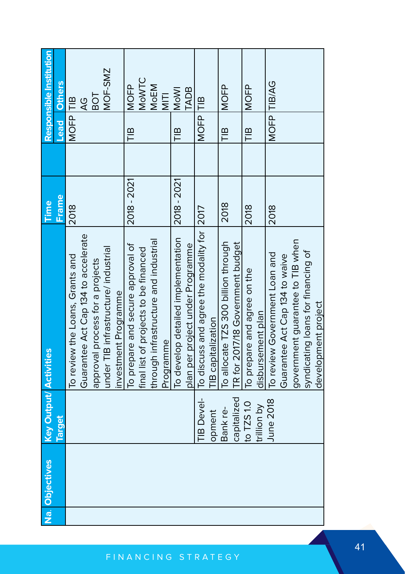| Na. Objectives | <b>Key Output/ Activities</b> |                                            | Time        |                 |             | Responsible Institution |
|----------------|-------------------------------|--------------------------------------------|-------------|-----------------|-------------|-------------------------|
|                | <b>Target</b>                 |                                            | Frame       |                 | <b>Lead</b> | <b>Others</b>           |
|                |                               | To review the Loans, Grants and            | 2018        |                 | MOFP<br>TIB |                         |
|                |                               | Guarantee Act Cap 134 to accelerate        |             |                 |             | $\overline{4}$          |
|                |                               | approval process for a projects            |             |                 |             | <b>DOB</b>              |
|                |                               | under TIB infrastructure/ industrial       |             |                 |             | MOF-SMZ                 |
|                |                               | investment Programme                       |             |                 |             |                         |
|                |                               | To prepare and secure approval of          | 2018 - 2021 | $\frac{10}{11}$ |             | <b>MOFP</b>             |
|                |                               | final list of projects to be financed      |             |                 |             | MOWTC                   |
|                |                               | through infrastructure and industrial      |             |                 |             | MoEM                    |
|                |                               | Programme                                  |             |                 |             | NITI                    |
|                |                               | To develop detailed implementation         | 2018 - 2021 | $\frac{10}{11}$ |             | <b>MoWI</b>             |
|                |                               | plan per project under Programme           |             |                 |             | <b>TADB</b>             |
|                | TIB Devel-                    | To discuss and agree the modality for 2017 |             |                 | MOFP TIB    |                         |
|                | opment                        | TIB capitalization                         |             |                 |             |                         |
|                | Bank re-                      | To allocate TZS 300 billion through        | 2018        | $\frac{10}{11}$ |             | NOFP<br>M               |
|                | capitalized                   | TR for 2017/18 Government budget           |             |                 |             |                         |
|                | to TZS 1.0                    | To prepare and agree on the                | 2018        | $\frac{10}{11}$ |             | <b>NOFP</b>             |
|                | trillion by                   | disbursement plan                          |             |                 |             |                         |
|                | June 2018                     | To review Government Loan and              | 2018        |                 |             | MOFP TIB/AG             |
|                |                               | Guarantee Act Cap 134 to waive             |             |                 |             |                         |
|                |                               | government guarantee to TIB when           |             |                 |             |                         |
|                |                               | syndicating loans for financing of         |             |                 |             |                         |
|                |                               | development project                        |             |                 |             |                         |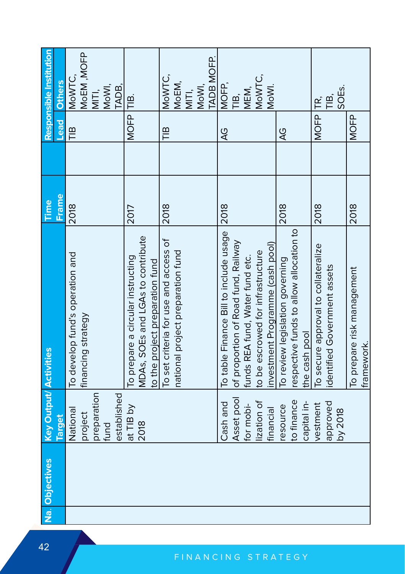| Responsible Institution       | <b>Others</b> | MoWTC,                          | MOEM, MOFP         |             | MITI,<br>MoWI, | TADB,       |                                   |                                   |                                 | MoWTC,                                | MoEM,                             | MITI,<br>MoWI, | <b>TADB MOFP.</b> | MOFP,                                  | TIB,<br>MEM,                        |                                 | MoWTC,                            | MoWI.                            |                                 |                                         |               | ΤŔ,                                 | ТIВ,                         | SOE <sub>S</sub> |                                          |
|-------------------------------|---------------|---------------------------------|--------------------|-------------|----------------|-------------|-----------------------------------|-----------------------------------|---------------------------------|---------------------------------------|-----------------------------------|----------------|-------------------|----------------------------------------|-------------------------------------|---------------------------------|-----------------------------------|----------------------------------|---------------------------------|-----------------------------------------|---------------|-------------------------------------|------------------------------|------------------|------------------------------------------|
|                               | bead          | $\mathbb{R}$                    |                    |             |                |             | MOFP TIB.                         |                                   |                                 | $\mathbb{R}$                          |                                   |                |                   | Q                                      |                                     |                                 |                                   |                                  | Q                               |                                         |               | <b>MOFP</b>                         |                              |                  | <b>MOFP</b>                              |
|                               |               |                                 |                    |             |                |             |                                   |                                   |                                 |                                       |                                   |                |                   |                                        |                                     |                                 |                                   |                                  |                                 |                                         |               |                                     |                              |                  |                                          |
| Time                          | <b>Frame</b>  | 2018                            |                    |             |                |             | 2017                              |                                   |                                 | 2018                                  |                                   |                |                   | 2018                                   |                                     |                                 |                                   |                                  | 2018                            |                                         |               | 2018                                |                              |                  | 2018                                     |
|                               |               | To develop fund's operation and | financing strategy |             |                |             | To prepare a circular instructing | MDAs, SOEs and LGAs to contribute | to the project preparation fund | To set criteria for use and access of | national project preparation fund |                |                   | To table Finance Bill to include usage | of proportion of Road fund, Railway | funds REA fund, Water fund etc. | to be escrowed for infrastructure | investment Programme (cash pool) | To review legislation governing | respective funds to allow allocation to | the cash pool | To secure approval to collateralize | identified Government assets |                  | To prepare risk management<br>framework. |
| <b>Key Output/ Activities</b> | <b>Target</b> | National                        | project            | preparation | fund           | established | at TIB by                         | 2018                              |                                 |                                       |                                   |                |                   | Cash and                               | Asset pool                          | for mobi-                       | lization of                       | financial                        | esource                         | to finance                              | capital in-   | vestment                            | approved                     | by 2018          |                                          |
| Na. Objectives                |               |                                 |                    |             |                |             |                                   |                                   |                                 |                                       |                                   |                |                   |                                        |                                     |                                 |                                   |                                  |                                 |                                         |               |                                     |                              |                  |                                          |
|                               |               |                                 |                    |             |                |             |                                   |                                   |                                 |                                       |                                   |                |                   |                                        |                                     |                                 |                                   |                                  |                                 |                                         |               |                                     |                              |                  |                                          |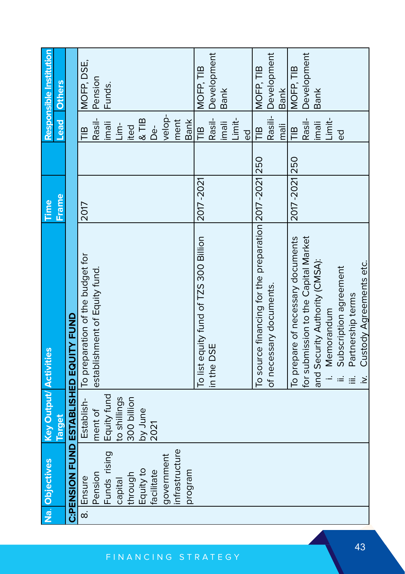| Na. Objectives | <b>Key Output/ Activities</b> |                                                        | Time          |                   | Responsible Institution |
|----------------|-------------------------------|--------------------------------------------------------|---------------|-------------------|-------------------------|
|                | Target                        |                                                        | Frame         | <b>Lead</b>       | <b>Others</b>           |
|                |                               | C:PENSION FUND ESTABLISHED EQUITY FUND                 |               |                   |                         |
| 8. Ensure      |                               | Establish-   To preparation of the budget for          | 2017          | $\frac{10}{10}$   | MOFP, DSE,              |
| Pension        | ment of                       | establishment of Equity fund.                          |               | Rasil-            | Pension                 |
| Funds rising   | Equity fund                   |                                                        |               | imali             | Funds.                  |
| capital        | to shillings                  |                                                        |               | $\frac{1}{2}$     |                         |
| through        | 300 billion                   |                                                        |               | ited              |                         |
| Equity to      | by June                       |                                                        |               | $\frac{1}{8}$ TIB |                         |
| facilitate     | 2021                          |                                                        |               | ρę                |                         |
| government     |                               |                                                        |               | velop-            |                         |
| infrastructure |                               |                                                        |               | ment              |                         |
| program        |                               |                                                        |               | <b>Bank</b>       |                         |
|                |                               | To list equity fund of TZS 300 Billion                 | 2017-2021     | $\mathbb{R}$      | MOFP, TIB               |
|                |                               | in the DSE                                             |               | Rasil-            | Development             |
|                |                               |                                                        |               | ilmali            | <b>Bank</b>             |
|                |                               |                                                        |               | Limit-            |                         |
|                |                               |                                                        |               | ත<br>ම            |                         |
|                |                               | To source financing for the preparation 2017 -2021 250 |               | $\mathbf{m}$      | MOFP, TIB               |
|                |                               | of necessary documents.                                |               |                   | Rasili- Development     |
|                |                               |                                                        |               | mali              | <b>Bank</b>             |
|                |                               | To prepare of necessary documents                      | 2017-2021 250 | $\frac{1}{n}$     | MOFP, TIB               |
|                |                               | for submission to the Capital Market                   |               | Rasil-            | Development             |
|                |                               | and Security Authority (CMSA):                         |               | imali             | <b>Bank</b>             |
|                |                               | Memorandum                                             |               | Limit-            |                         |
|                |                               | Subscription agreement                                 |               | ರ                 |                         |
|                |                               | Partnership terms                                      |               |                   |                         |
|                |                               | Custody Agreements etc.<br>$\dot{\ge}$                 |               |                   |                         |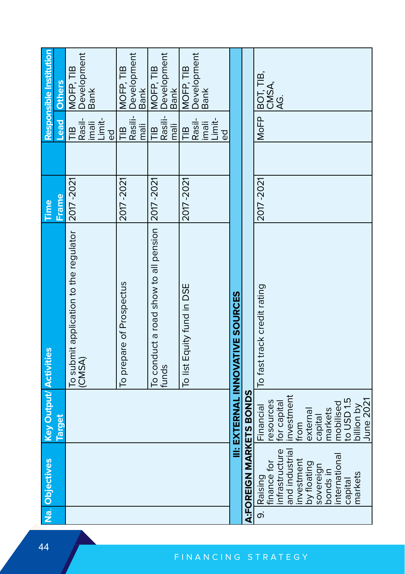| Na. Objectives                | <b>Key Output/ Activities</b>          |                                                  | Time        |                 | Responsible Institution          |
|-------------------------------|----------------------------------------|--------------------------------------------------|-------------|-----------------|----------------------------------|
|                               |                                        |                                                  |             |                 |                                  |
|                               | <b>Target</b>                          |                                                  | Frame       | <b>Lead</b>     | <b>Others</b>                    |
|                               |                                        | To submit application to the regulator           | 2017-2021   | $\mathbb{E}$    | MOFP, TIB                        |
|                               |                                        | (CMSA)                                           |             | Rasil-<br>imali | Development<br>Bank              |
|                               |                                        |                                                  |             |                 |                                  |
|                               |                                        |                                                  |             | Limit-          |                                  |
|                               |                                        |                                                  |             | $\overline{6}$  |                                  |
|                               |                                        | To prepare of Prospectus                         | 2017-2021   | $\frac{1}{2}$   | MOFP, TIB                        |
|                               |                                        |                                                  |             | Rasili-         | Development<br>Bank              |
|                               |                                        |                                                  |             | ilem            |                                  |
|                               |                                        | To conduct a road show to all pension  2017-2021 |             | $\frac{1}{2}$   |                                  |
|                               |                                        | funds                                            |             | Rasili-         | MOFP, TIB<br>Development<br>Bank |
|                               |                                        |                                                  |             | mali            |                                  |
|                               |                                        | To list Equity fund in DSE                       | 2017 - 2021 | $\frac{1}{2}$   | MOFP, TIB                        |
|                               |                                        |                                                  |             | Rasil-          | Development                      |
|                               |                                        |                                                  |             | imali<br>Limit- |                                  |
|                               |                                        |                                                  |             | $\overline{Q}$  |                                  |
|                               |                                        |                                                  |             |                 |                                  |
|                               |                                        | <b>III: EXTERNAL INNOVATIVE SOURCES</b>          |             |                 |                                  |
| A:FOREIGN MARKETS BONDS       |                                        |                                                  |             |                 |                                  |
| 9. Raising                    | Financial                              | To fast track credit rating                      | 2017-2021   | MoFP            | BOT, TIB,<br>CMSA,<br>AG.        |
| finance for<br>infrastructure |                                        |                                                  |             |                 |                                  |
|                               | resources<br>for capital<br>investment |                                                  |             |                 |                                  |
| and industrial                |                                        |                                                  |             |                 |                                  |
| nvestment                     | from                                   |                                                  |             |                 |                                  |
| by floating                   | external                               |                                                  |             |                 |                                  |
| sovereign<br>bonds in         | capital                                |                                                  |             |                 |                                  |
|                               | markets                                |                                                  |             |                 |                                  |
| nternationa                   | mobilised<br>to USD 1.5                |                                                  |             |                 |                                  |
| capital                       |                                        |                                                  |             |                 |                                  |
| markets                       | va noillid                             |                                                  |             |                 |                                  |
|                               | June 2021                              |                                                  |             |                 |                                  |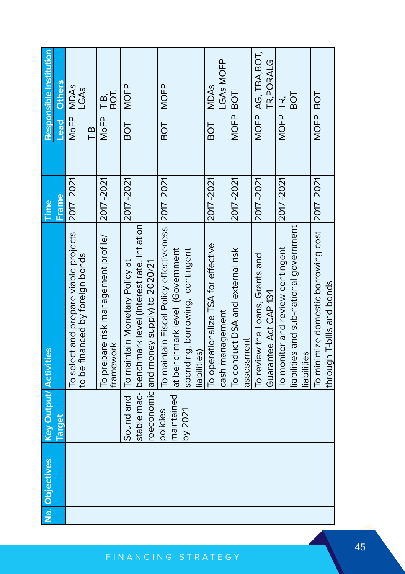| Na. Objectives | <b>Key Output/ Activities</b> |                                                                                                  | Time        |                 | Responsible Institution |
|----------------|-------------------------------|--------------------------------------------------------------------------------------------------|-------------|-----------------|-------------------------|
|                | <b>Target</b>                 |                                                                                                  | Frame       | <b>Lead</b>     | <b>Others</b>           |
|                |                               | To select and prepare viable projects<br>to be financed by foreign bonds                         | 2017-2021   | MoFP MDAS<br>TВ | LGAs                    |
|                |                               | To prepare risk management profile/<br>framework                                                 | 2017-2021   | <b>MoFP</b>     | BOT.<br>凹.<br>三         |
|                |                               | Sound and   To maintain Monetary Policy at                                                       | 2017-2021   | BOT             | <b>MOFP</b>             |
|                |                               | stable mac- benchmark level (Interest rate, inflation<br>roeconomic and money supply) to 2020/21 |             |                 |                         |
|                | policies                      | To maintain Fiscal Policy effectiveness                                                          | 2017-2021   | BOT<br>B        | <b>NOFP</b>             |
|                |                               | maintained at benchmark level (Government                                                        |             |                 |                         |
|                | by 2021                       | spending, borrowing, contingent<br>liabilities)                                                  |             |                 |                         |
|                |                               | To operationalize TSA for effective                                                              | 2017-2021   | BOT             | <b>MDAs</b>             |
|                |                               | cash management                                                                                  |             |                 | LGAS MOFP               |
|                |                               | To conduct DSA and external risk                                                                 | 2017-2021   | MOFP BOT        |                         |
|                |                               | assessment                                                                                       |             |                 |                         |
|                |                               | To review the Loans, Grants and                                                                  | 2017-2021   |                 | MOFP AG, TBA, BOT,      |
|                |                               | Guarantee Act CAP 134                                                                            |             |                 | TR.PORALG               |
|                |                               | To monitor and review contingent                                                                 | 2017 - 2021 | MOFP TR,        |                         |
|                |                               | liabilities and sub-national government                                                          |             |                 | <b>TOB</b>              |
|                |                               | liabilities                                                                                      |             |                 |                         |
|                |                               | To minimize domestic borrowing cost  2017-2021                                                   |             | MOFP BOT        |                         |
|                |                               | through T-bills and bonds                                                                        |             |                 |                         |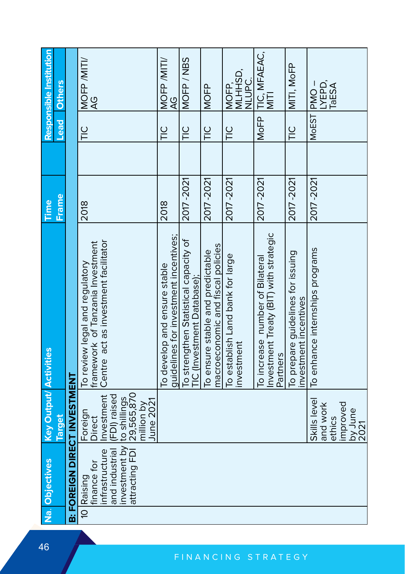| Responsible Institution       | <b>Others</b> |                                     | MOFP /MITI/<br>ă                                                                                           |                                              | MOFP /MITI/<br>9<br>A                                                 | MOFP/NBS                                                            | <b>MOFP</b>                                                           | MLHHSD,<br>C<br>NUPC<br>MOFP,                 | MoFP TIC, MFAEAC,<br>MITI                                                             | MITI, MoFP                                                 | LYEPD,<br>TaESA<br>MoEST PMO-      |                             |
|-------------------------------|---------------|-------------------------------------|------------------------------------------------------------------------------------------------------------|----------------------------------------------|-----------------------------------------------------------------------|---------------------------------------------------------------------|-----------------------------------------------------------------------|-----------------------------------------------|---------------------------------------------------------------------------------------|------------------------------------------------------------|------------------------------------|-----------------------------|
|                               | Lead          |                                     | $\frac{0}{1}$                                                                                              |                                              | $\frac{0}{1}$                                                         | $\frac{0}{1}$                                                       | $\frac{0}{1}$                                                         | $\frac{0}{1}$                                 |                                                                                       | $\frac{0}{1}$                                              |                                    |                             |
|                               |               |                                     |                                                                                                            |                                              |                                                                       |                                                                     |                                                                       |                                               |                                                                                       |                                                            |                                    |                             |
| Time                          | <b>Frame</b>  |                                     | 2018                                                                                                       |                                              | 2018                                                                  | 2017 - 2021                                                         | 2017-2021                                                             | 2017-2021                                     | 2017-2021                                                                             | 2017 - 2021                                                | 2017-2021                          |                             |
|                               |               |                                     | Centre act as investment facilitator<br>framework of Tanzania Investment<br>To review legal and regulatory |                                              | guidelines for investment incentives;<br>To develop and ensure stable | To strengthen Statistical capacity of<br>"IC (Investment Database); | macroeconomic and fiscal policies<br>To ensure stable and predictable | To establish Land bank for large<br>nvestment | Investment Treaty (BIT) with strategic<br>To increase number of Bilateral<br>Partners | To prepare guidelines for issuing<br>investment incentives | To enhance internships programs    |                             |
| <b>Key Output/ Activities</b> | <b>Target</b> |                                     | Investment<br>(FDI) raised<br>Foreign<br>Direct                                                            | 29,565,870<br>June 2021<br>million by        |                                                                       |                                                                     |                                                                       |                                               |                                                                                       |                                                            | Skills level<br>and work<br>ethics | improved<br>by June<br>2021 |
| Na. Objectives                |               | <b>B: FOREIGN DIRECT INVESTMENT</b> | and industrial<br>infrastructure<br>finance for<br>10 Raising                                              | investment by to shillings<br>attracting FDI |                                                                       |                                                                     |                                                                       |                                               |                                                                                       |                                                            |                                    |                             |
|                               |               |                                     |                                                                                                            |                                              |                                                                       |                                                                     |                                                                       |                                               |                                                                                       |                                                            |                                    |                             |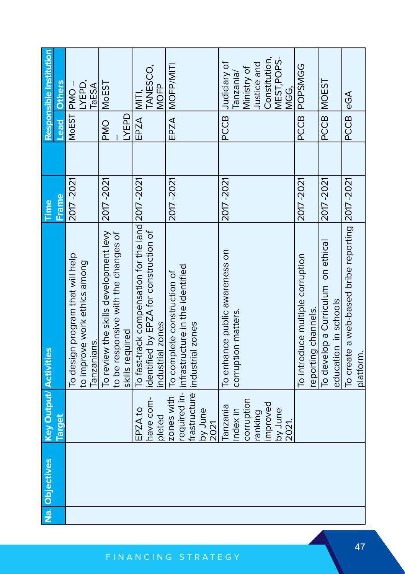| <b>Key Output/ Activities</b><br>Target<br>Na. Objectives                         |  | <b>Frame</b><br>Time | Lead        | Responsible Institution<br><b>Others</b> |
|-----------------------------------------------------------------------------------|--|----------------------|-------------|------------------------------------------|
| To design program that will help<br>to improve work ethics among                  |  | 2017-2021            |             | LYEPD,<br>MoEST PMO-                     |
| To review the skills development levy<br>lanzanians.                              |  | 2017 - 2021          | <b>PMO</b>  | <b>MoEST</b><br>TaESA                    |
| to be responsive with the changes of                                              |  |                      |             |                                          |
| skills required                                                                   |  |                      | <b>UABD</b> |                                          |
| To fast-track compensation for the land 2017 -2021<br>EPZA to                     |  |                      | EPZA MITI   |                                          |
| identified by EPZA for construction of<br>industrial zones<br>have com-<br>pleted |  |                      |             | TANESCO,<br><b>NOFP</b>                  |
| To complete construction of<br>zones with                                         |  | 2017-2021            |             | EPZA MOFP/MITI                           |
| required in- infrastructure in the identified                                     |  |                      |             |                                          |
| frastructure lindustrial zones<br>by June                                         |  |                      |             |                                          |
| 2021                                                                              |  |                      |             |                                          |
| To enhance public awareness on<br><b>Fanzania</b>                                 |  | 2017-2021            | PCCB        | Judiciary of                             |
| corruption matters.<br>index in                                                   |  |                      |             | Tanzania/                                |
| corruption                                                                        |  |                      |             | Ministry of                              |
| ranking                                                                           |  |                      |             | Justice and                              |
| mproved                                                                           |  |                      |             | Constitution,                            |
| by June<br>2021.                                                                  |  |                      |             | MEST, POPS-<br>VGG.                      |
| To introduce multiple corruption                                                  |  | 2017-2021            | PCCB        | <b>POPSMGG</b>                           |
| eporting channels.                                                                |  |                      |             |                                          |
| To develop a Curriculum on ethical                                                |  | 2017-2021            | PCCB        | <b>MOEST</b>                             |
| education in schools                                                              |  |                      |             |                                          |
| To create a web-based bribe reporting 2017-2021                                   |  |                      | PCCB eGA    |                                          |
| platform.                                                                         |  |                      |             |                                          |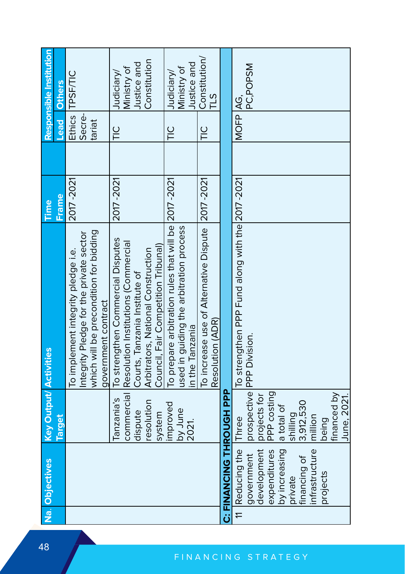| Na. Objectives                  | <b>Key Output/ Activities</b>                |                                                                                                                                                                                                   | Time      |               |                    | Responsible Institution                                  |
|---------------------------------|----------------------------------------------|---------------------------------------------------------------------------------------------------------------------------------------------------------------------------------------------------|-----------|---------------|--------------------|----------------------------------------------------------|
|                                 | Target                                       |                                                                                                                                                                                                   | Frame     |               | <b>bead</b>        | <b>Others</b>                                            |
|                                 |                                              | which will be precondition for bidding<br>Integrity Pledge for the private sector<br>To implement integrity pledge i.e.<br>government contract                                                    | 2017-2021 | tariat        | Ethics<br>Secre-   | TPSF/TIC                                                 |
|                                 | anzania's<br>resolution<br>dispute<br>system | To strengthen Commercial Disputes<br>commercial Resolution Institutions (Commercial<br>Council, Fair Competition Tribunal)<br>Arbitrators, National Construction<br>Courts, Tanzania Institute of | 2017-2021 | $\frac{0}{1}$ |                    | Constitution<br>Justice and<br>Ministry of<br>Judiciary/ |
|                                 | improved<br>by June<br>2021.                 | To prepare arbitration rules that will be 2017 -2021<br>used in guiding the arbitration process<br>in the Tanzania                                                                                |           | $\frac{0}{1}$ |                    | Justice and<br>Ministry of<br>Judiciary/                 |
|                                 |                                              | To increase use of Alternative Dispute 2017-2021<br>Resolution (ADR)                                                                                                                              |           | $\frac{0}{1}$ |                    | Constitution/<br>$\frac{2}{11}$                          |
| <b>LA HUDOLT UNIVERNAL SURF</b> |                                              |                                                                                                                                                                                                   |           |               |                    |                                                          |
| 11 Reducing the                 | <b>Three</b>                                 | To strengthen PPP Fund along with the 2017-2021                                                                                                                                                   |           |               | MOFP <sub>AG</sub> |                                                          |
| development<br>government       | projects for                                 | prospective PPP Division.                                                                                                                                                                         |           |               |                    | PC,POPSM                                                 |
| expenditures                    | PPP costing                                  |                                                                                                                                                                                                   |           |               |                    |                                                          |
| by increasing<br>private        | a total of<br>shilling                       |                                                                                                                                                                                                   |           |               |                    |                                                          |
| financing of                    | 3,912,530                                    |                                                                                                                                                                                                   |           |               |                    |                                                          |
| infrastructure                  | million                                      |                                                                                                                                                                                                   |           |               |                    |                                                          |
| projects                        | being                                        |                                                                                                                                                                                                   |           |               |                    |                                                          |
|                                 | financed by<br>June, 2021.                   |                                                                                                                                                                                                   |           |               |                    |                                                          |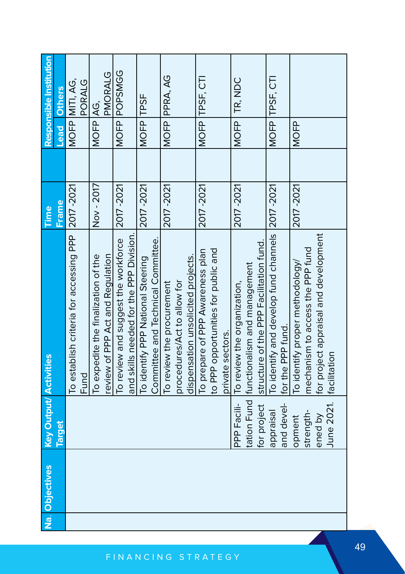| Na. Objectives | <b>Key Output/ Activities</b> |                                                                               | Time       |             | Responsible Institution  |
|----------------|-------------------------------|-------------------------------------------------------------------------------|------------|-------------|--------------------------|
|                | <b>Target</b>                 |                                                                               | Frame      | Lead        | <b>Others</b>            |
|                |                               | To establish criteria for accessing PPP 2017-2021<br>Fund                     |            |             | MOFP MITI, AG,<br>PORALG |
|                |                               | review of PPP Act and Requlation<br>To expedite the finalization of the       | Nov-2017   | MOFP AG,    | PMORALG                  |
|                |                               | To review and suggest the workforce<br>and skills needed for the PPP Division | 2017-2021  |             | MOFP POPSMGG             |
|                |                               | Committee and Technical Committee.<br>To identify PPP National Steering       | 2017 -2021 | MOFP TPSF   |                          |
|                |                               | To review the procurement                                                     | 2017-2021  |             | MOFP PPRA, AG            |
|                |                               | dispensation unsolicited projects.<br>procedures/Act to allow for             |            |             |                          |
|                |                               | To prepare of PPP Awareness plan                                              | 2017 -2021 |             | MOFP TPSF, CTI           |
|                |                               | to PPP opportunities for public and                                           |            |             |                          |
|                |                               | private sectors.                                                              |            |             |                          |
|                |                               | PPP Facili- To review the organization,                                       | 2017-2021  |             | MOFP TR, NDC             |
|                |                               | tation Fund functionalism and management                                      |            |             |                          |
|                |                               | for project Structure of the PPP Facilitation fund.                           |            |             |                          |
|                | and devel-<br>appraisal       | To identify and develop fund channels 2017-2021<br>for the PPP fund.          |            |             | MOFP TPSF, CTI           |
|                | opment                        | To identify proper methodology/                                               | 2017-2021  | <b>MOFP</b> |                          |
|                | strength-                     | mechanism to access the PPP fund                                              |            |             |                          |
|                | ened by                       | for project appraisal and development                                         |            |             |                          |
|                | June 2021.   facilitation     |                                                                               |            |             |                          |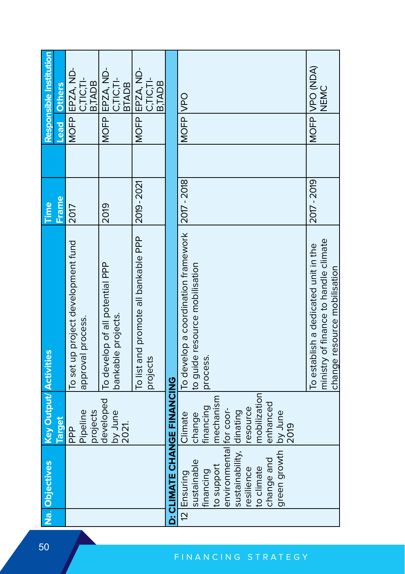| Na. Objectives                                                                                                                                                         | <b>Key Output/ Activities</b>                                                                          |                                                                                                               | Time        |      | Responsible Institution                      |
|------------------------------------------------------------------------------------------------------------------------------------------------------------------------|--------------------------------------------------------------------------------------------------------|---------------------------------------------------------------------------------------------------------------|-------------|------|----------------------------------------------|
|                                                                                                                                                                        | <b>Target</b>                                                                                          |                                                                                                               | Frame       | Lead | <b>Others</b>                                |
|                                                                                                                                                                        | Pipeline<br>projects<br>ad<br>H                                                                        | To set up project development fund<br>approval process.                                                       | 2017        |      | MOFP EPZA, ND-<br>C.TIC.TI-<br><b>B.TADB</b> |
|                                                                                                                                                                        | developed<br>by June<br>2021.                                                                          | To develop of all potential PPP<br>bankable projects.                                                         | 2019        |      | MOFP EPZA, ND-<br>C.TIC.TI-<br><b>BTADB</b>  |
|                                                                                                                                                                        |                                                                                                        | To list and promote all bankable PPP<br>projects                                                              | 2019 - 2021 |      | MOFP EPZA, ND-<br>C.TIC.TI-<br><b>B,TADB</b> |
| D: CLIMATE CHANGE FINANCIO                                                                                                                                             |                                                                                                        |                                                                                                               |             |      |                                              |
| environmental for coor-<br>sustainability, dinating<br>green growth<br>change and<br>sustainable<br>to support<br>to climate<br>resilience<br>financing<br>12 Ensuring | mobilization<br>mechanism<br>enhanced<br>financing<br>resource<br>by June<br>Climate<br>change<br>2019 | To develop a coordination framework 2017-2018<br>to guide resource mobilisation<br>process.                   |             |      | MOFP VPO                                     |
|                                                                                                                                                                        |                                                                                                        |                                                                                                               |             |      |                                              |
|                                                                                                                                                                        |                                                                                                        | ministry of finance to handle climate<br>To establish a dedicated unit in the<br>change resource mobilisation | 2017 - 2019 |      | MOFP VPO (NDA)<br>NEMC                       |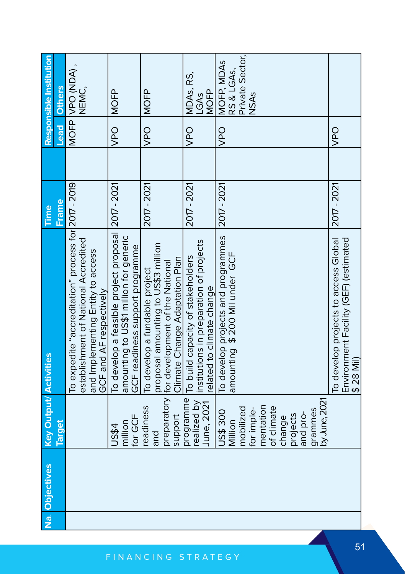| Na. Objectives | <b>Key Output/ Activities</b>                                            |                                                                                                                                                             | Time        |                    | Responsible Institution                                    |
|----------------|--------------------------------------------------------------------------|-------------------------------------------------------------------------------------------------------------------------------------------------------------|-------------|--------------------|------------------------------------------------------------|
|                | <b>Larget</b>                                                            |                                                                                                                                                             | Frame,      | <b>Lead</b>        | <b>Others</b>                                              |
|                |                                                                          | To expedite "accreditation" process for 2017 - 2019<br>establishment of National Accredited<br>and Implementing Entity to access<br>GCF and AF respectively |             |                    | MOFP VPO (NDA),<br>NEMC,                                   |
|                | for GCF<br>million<br>US\$4                                              | To develop a feasible project proposal 2017 - 2021<br>amounting to US\$1 million for generic<br>GCF readiness support programme                             |             | <b>SdA</b>         | <b>MOFP</b>                                                |
|                | eadiness<br>support<br>and                                               | proposal amounting to US\$3 million<br>Climate Change Adaptation Plan<br>preparatory for development of the National<br>To develop a fundable project       | 2017 - 2021 | $rac{1}{2}$        | <b>MOFP</b>                                                |
|                | programme<br>June, 2021                                                  | ealized by linstitutions in preparation of projects<br>To build capacity of stakeholders<br>related to climate change                                       | 2017 - 2021 | <b>OdA</b>         | MDAs, RS,<br><b>MOFP</b><br>LGAS                           |
|                | mentation<br>mobilized<br>for imple-<br><b>US\$300</b><br>Million        | To develop projects and programmes<br>amounting \$200 Mil under GCF                                                                                         | 2017 - 2021 | $rac{1}{\sqrt{2}}$ | Private Sector,<br>MOFP, MDAS<br>RS & LGAs,<br><b>NSAs</b> |
|                | by June, 2021<br>of climate<br>grammes<br>and pro-<br>projects<br>change |                                                                                                                                                             |             |                    |                                                            |
|                |                                                                          | To develop projects to access Global<br>Environment Facility (GEF) (estimated<br>$$28$ Mil                                                                  | 2017 - 2021 | <b>OdA</b>         |                                                            |